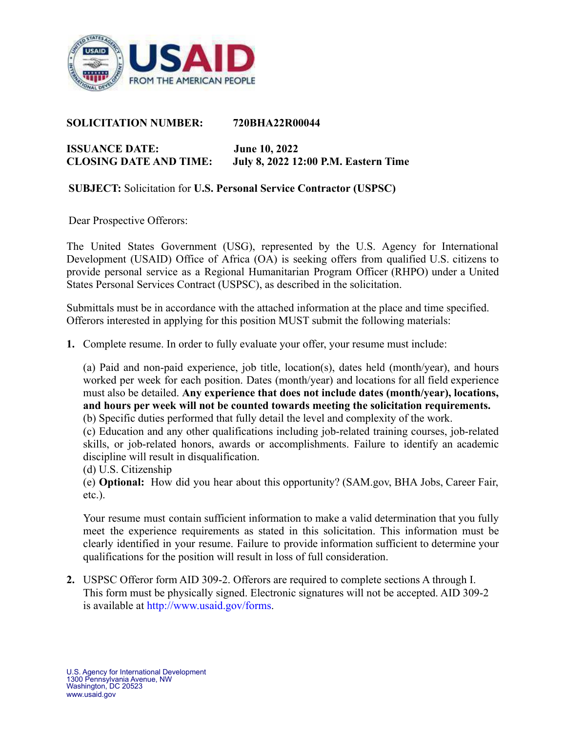

#### **SOLICITATION NUMBER: 720BHA22R00044**

# **ISSUANCE DATE: June 10, 2022 CLOSING DATE AND TIME: July 8, 2022 12:00 P.M. Eastern Time**

### **SUBJECT:** Solicitation for **U.S. Personal Service Contractor (USPSC)**

Dear Prospective Offerors:

The United States Government (USG), represented by the U.S. Agency for International Development (USAID) Office of Africa (OA) is seeking offers from qualified U.S. citizens to provide personal service as a Regional Humanitarian Program Officer (RHPO) under a United States Personal Services Contract (USPSC), as described in the solicitation.

Submittals must be in accordance with the attached information at the place and time specified. Offerors interested in applying for this position MUST submit the following materials:

**1.** Complete resume. In order to fully evaluate your offer, your resume must include:

(a) Paid and non-paid experience, job title, location(s), dates held (month/year), and hours worked per week for each position. Dates (month/year) and locations for all field experience must also be detailed. **Any experience that does not include dates (month/year), locations, and hours per week will not be counted towards meeting the solicitation requirements.** (b) Specific duties performed that fully detail the level and complexity of the work.

(c) Education and any other qualifications including job-related training courses, job-related skills, or job-related honors, awards or accomplishments. Failure to identify an academic discipline will result in disqualification.

(d) U.S. Citizenship

(e) **Optional:** How did you hear about this opportunity? (SAM.gov, BHA Jobs, Career Fair, etc.).

Your resume must contain sufficient information to make a valid determination that you fully meet the experience requirements as stated in this solicitation. This information must be clearly identified in your resume. Failure to provide information sufficient to determine your qualifications for the position will result in loss of full consideration.

**2.** USPSC Offeror form AID 309-2. Offerors are required to complete sections A through I. This form must be physically signed. Electronic signatures will not be accepted. AID 309-2 is available at http://www.usaid.gov/forms.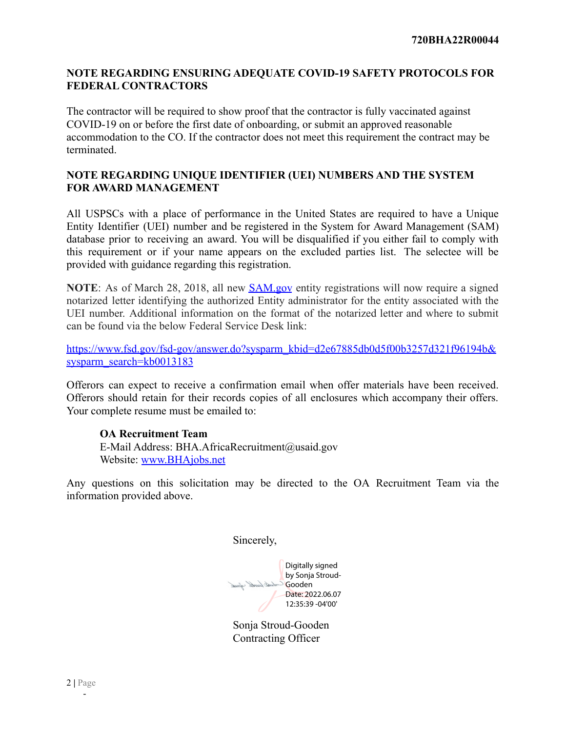## **NOTE REGARDING ENSURING ADEQUATE COVID-19 SAFETY PROTOCOLS FOR FEDERAL CONTRACTORS**

The contractor will be required to show proof that the contractor is fully vaccinated against COVID-19 on or before the first date of onboarding, or submit an approved reasonable accommodation to the CO. If the contractor does not meet this requirement the contract may be terminated.

## **NOTE REGARDING UNIQUE IDENTIFIER (UEI) NUMBERS AND THE SYSTEM FOR AWARD MANAGEMENT**

All USPSCs with a place of performance in the United States are required to have a Unique Entity Identifier (UEI) number and be registered in the System for Award Management (SAM) database prior to receiving an award. You will be disqualified if you either fail to comply with this requirement or if your name appears on the excluded parties list. The selectee will be provided with guidance regarding this registration.

**NOTE**: As of March 28, 2018, all new **[SAM.gov](http://sam.gov)** entity registrations will now require a signed notarized letter identifying the authorized Entity administrator for the entity associated with the UEI number. Additional information on the format of the notarized letter and where to submit can be found via the below Federal Service Desk link:

[https://www.fsd.gov/fsd-gov/answer.do?sysparm\\_kbid=d2e67885db0d5f00b3257d321f96194b&](https://www.fsd.gov/fsd-gov/answer.do?sysparm_kbid=d2e67885db0d5f00b3257d321f96194b&) sysparm\_search=kb0013183

Offerors can expect to receive a confirmation email when offer materials have been received. Offerors should retain for their records copies of all enclosures which accompany their offers. Your complete resume must be emailed to:

## **OA Recruitment Team**

E-Mail Address: BHA.AfricaRecruitment@usaid.gov Website: [www.BHAjobs.net](http://www.bhajobs.net)

Any questions on this solicitation may be directed to the OA Recruitment Team via the information provided above.

Sincerely, Digitally signed by Sonja Stroud-Gooden Date: 2022.06.07 12:35:39 -04'00'

Sonja Stroud-Gooden Contracting Officer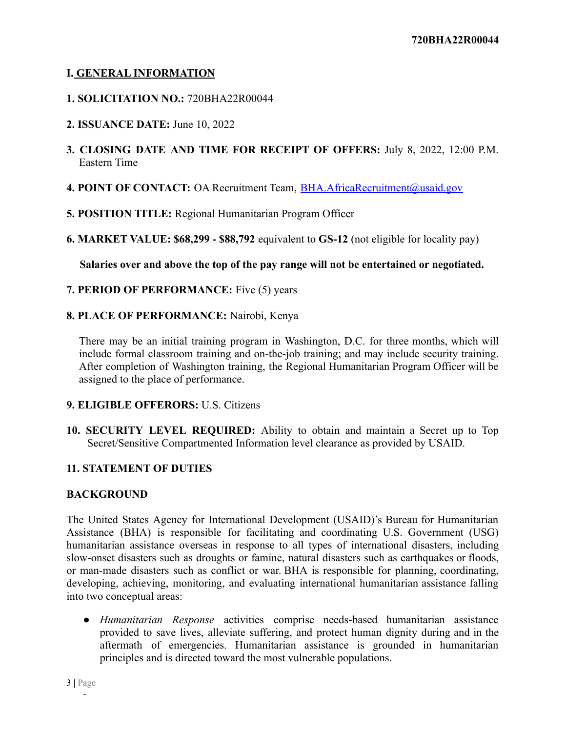## **I. GENERAL INFORMATION**

## **1. SOLICITATION NO.:** 720BHA22R00044

- **2. ISSUANCE DATE:** June 10, 2022
- **3. CLOSING DATE AND TIME FOR RECEIPT OF OFFERS:** July 8, 2022, 12:00 P.M. Eastern Time
- **4. POINT OF CONTACT:** OA Recruitment Team, **[BHA.AfricaRecruitment@usaid.gov](mailto:BHA.AfricaRecruitment@usaid.gov)**
- **5. POSITION TITLE:** Regional Humanitarian Program Officer
- **6. MARKET VALUE: \$68,299 \$88,792** equivalent to **GS-12** (not eligible for locality pay)

**Salaries over and above the top of the pay range will not be entertained or negotiated.**

#### **7. PERIOD OF PERFORMANCE:** Five (5) years

**8. PLACE OF PERFORMANCE:** Nairobi, Kenya

There may be an initial training program in Washington, D.C. for three months, which will include formal classroom training and on-the-job training; and may include security training. After completion of Washington training, the Regional Humanitarian Program Officer will be assigned to the place of performance.

#### **9. ELIGIBLE OFFERORS:** U.S. Citizens

**10. SECURITY LEVEL REQUIRED:** Ability to obtain and maintain a Secret up to Top Secret/Sensitive Compartmented Information level clearance as provided by USAID.

## **11. STATEMENT OF DUTIES**

#### **BACKGROUND**

The United States Agency for International Development (USAID)'s Bureau for Humanitarian Assistance (BHA) is responsible for facilitating and coordinating U.S. Government (USG) humanitarian assistance overseas in response to all types of international disasters, including slow-onset disasters such as droughts or famine, natural disasters such as earthquakes or floods, or man-made disasters such as conflict or war. BHA is responsible for planning, coordinating, developing, achieving, monitoring, and evaluating international humanitarian assistance falling into two conceptual areas:

● *Humanitarian Response* activities comprise needs-based humanitarian assistance provided to save lives, alleviate suffering, and protect human dignity during and in the aftermath of emergencies. Humanitarian assistance is grounded in humanitarian principles and is directed toward the most vulnerable populations.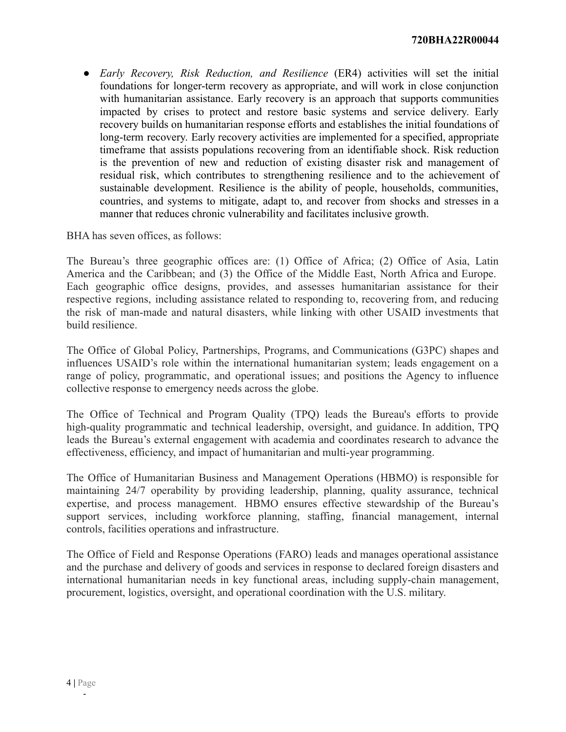● *Early Recovery, Risk Reduction, and Resilience* (ER4) activities will set the initial foundations for longer-term recovery as appropriate, and will work in close conjunction with humanitarian assistance. Early recovery is an approach that supports communities impacted by crises to protect and restore basic systems and service delivery. Early recovery builds on humanitarian response efforts and establishes the initial foundations of long-term recovery. Early recovery activities are implemented for a specified, appropriate timeframe that assists populations recovering from an identifiable shock. Risk reduction is the prevention of new and reduction of existing disaster risk and management of residual risk, which contributes to strengthening resilience and to the achievement of sustainable development. Resilience is the ability of people, households, communities, countries, and systems to mitigate, adapt to, and recover from shocks and stresses in a manner that reduces chronic vulnerability and facilitates inclusive growth.

BHA has seven offices, as follows:

The Bureau's three geographic offices are: (1) Office of Africa; (2) Office of Asia, Latin America and the Caribbean; and (3) the Office of the Middle East, North Africa and Europe. Each geographic office designs, provides, and assesses humanitarian assistance for their respective regions, including assistance related to responding to, recovering from, and reducing the risk of man-made and natural disasters, while linking with other USAID investments that build resilience.

The Office of Global Policy, Partnerships, Programs, and Communications (G3PC) shapes and influences USAID's role within the international humanitarian system; leads engagement on a range of policy, programmatic, and operational issues; and positions the Agency to influence collective response to emergency needs across the globe.

The Office of Technical and Program Quality (TPQ) leads the Bureau's efforts to provide high-quality programmatic and technical leadership, oversight, and guidance. In addition, TPQ leads the Bureau's external engagement with academia and coordinates research to advance the effectiveness, efficiency, and impact of humanitarian and multi-year programming.

The Office of Humanitarian Business and Management Operations (HBMO) is responsible for maintaining 24/7 operability by providing leadership, planning, quality assurance, technical expertise, and process management. HBMO ensures effective stewardship of the Bureau's support services, including workforce planning, staffing, financial management, internal controls, facilities operations and infrastructure.

The Office of Field and Response Operations (FARO) leads and manages operational assistance and the purchase and delivery of goods and services in response to declared foreign disasters and international humanitarian needs in key functional areas, including supply-chain management, procurement, logistics, oversight, and operational coordination with the U.S. military.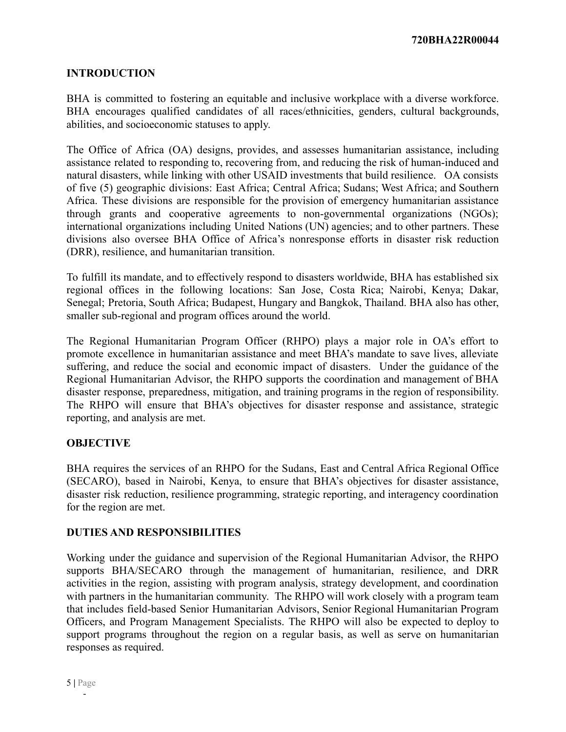### **INTRODUCTION**

BHA is committed to fostering an equitable and inclusive workplace with a diverse workforce. BHA encourages qualified candidates of all races/ethnicities, genders, cultural backgrounds, abilities, and socioeconomic statuses to apply.

The Office of Africa (OA) designs, provides, and assesses humanitarian assistance, including assistance related to responding to, recovering from, and reducing the risk of human-induced and natural disasters, while linking with other USAID investments that build resilience. OA consists of five (5) geographic divisions: East Africa; Central Africa; Sudans; West Africa; and Southern Africa. These divisions are responsible for the provision of emergency humanitarian assistance through grants and cooperative agreements to non-governmental organizations (NGOs); international organizations including United Nations (UN) agencies; and to other partners. These divisions also oversee BHA Office of Africa's nonresponse efforts in disaster risk reduction (DRR), resilience, and humanitarian transition.

To fulfill its mandate, and to effectively respond to disasters worldwide, BHA has established six regional offices in the following locations: San Jose, Costa Rica; Nairobi, Kenya; Dakar, Senegal; Pretoria, South Africa; Budapest, Hungary and Bangkok, Thailand. BHA also has other, smaller sub-regional and program offices around the world.

The Regional Humanitarian Program Officer (RHPO) plays a major role in OA's effort to promote excellence in humanitarian assistance and meet BHA's mandate to save lives, alleviate suffering, and reduce the social and economic impact of disasters. Under the guidance of the Regional Humanitarian Advisor, the RHPO supports the coordination and management of BHA disaster response, preparedness, mitigation, and training programs in the region of responsibility. The RHPO will ensure that BHA's objectives for disaster response and assistance, strategic reporting, and analysis are met.

#### **OBJECTIVE**

BHA requires the services of an RHPO for the Sudans, East and Central Africa Regional Office (SECARO), based in Nairobi, Kenya, to ensure that BHA's objectives for disaster assistance, disaster risk reduction, resilience programming, strategic reporting, and interagency coordination for the region are met.

#### **DUTIES AND RESPONSIBILITIES**

Working under the guidance and supervision of the Regional Humanitarian Advisor, the RHPO supports BHA/SECARO through the management of humanitarian, resilience, and DRR activities in the region, assisting with program analysis, strategy development, and coordination with partners in the humanitarian community. The RHPO will work closely with a program team that includes field-based Senior Humanitarian Advisors, Senior Regional Humanitarian Program Officers, and Program Management Specialists. The RHPO will also be expected to deploy to support programs throughout the region on a regular basis, as well as serve on humanitarian responses as required.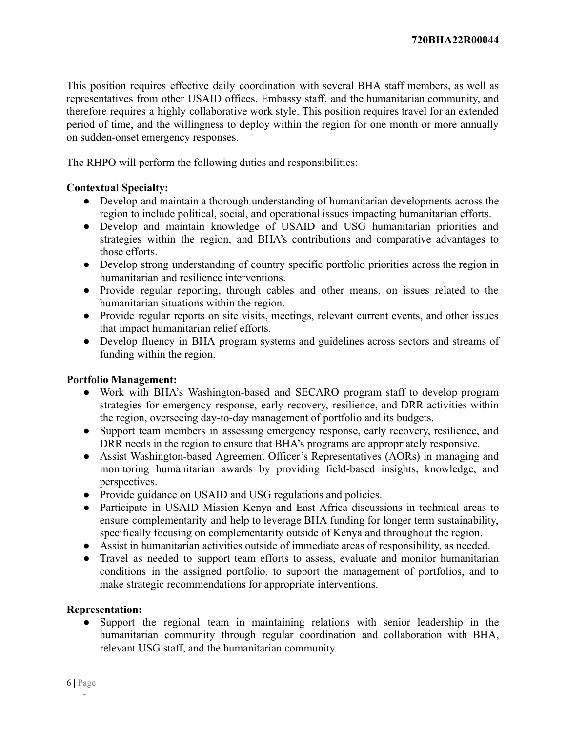This position requires effective daily coordination with several BHA staff members, as well as representatives from other USAID offices, Embassy staff, and the humanitarian community, and therefore requires a highly collaborative work style. This position requires travel for an extended period of time, and the willingness to deploy within the region for one month or more annually on sudden-onset emergency responses.

The RHPO will perform the following duties and responsibilities:

## **Contextual Specialty:**

- Develop and maintain a thorough understanding of humanitarian developments across the region to include political, social, and operational issues impacting humanitarian efforts.
- Develop and maintain knowledge of USAID and USG humanitarian priorities and strategies within the region, and BHA's contributions and comparative advantages to those efforts.
- Develop strong understanding of country specific portfolio priorities across the region in humanitarian and resilience interventions.
- Provide regular reporting, through cables and other means, on issues related to the humanitarian situations within the region.
- Provide regular reports on site visits, meetings, relevant current events, and other issues that impact humanitarian relief efforts.
- Develop fluency in BHA program systems and guidelines across sectors and streams of funding within the region.

#### **Portfolio Management:**

- **●** Work with BHA's Washington-based and SECARO program staff to develop program strategies for emergency response, early recovery, resilience, and DRR activities within the region, overseeing day-to-day management of portfolio and its budgets.
- **●** Support team members in assessing emergency response, early recovery, resilience, and DRR needs in the region to ensure that BHA's programs are appropriately responsive.
- **●** Assist Washington-based Agreement Officer's Representatives (AORs) in managing and monitoring humanitarian awards by providing field-based insights, knowledge, and perspectives.
- **●** Provide guidance on USAID and USG regulations and policies.
- Participate in USAID Mission Kenya and East Africa discussions in technical areas to ensure complementarity and help to leverage BHA funding for longer term sustainability, specifically focusing on complementarity outside of Kenya and throughout the region.
- **●** Assist in humanitarian activities outside of immediate areas of responsibility, as needed.
- Travel as needed to support team efforts to assess, evaluate and monitor humanitarian conditions in the assigned portfolio, to support the management of portfolios, and to make strategic recommendations for appropriate interventions.

#### **Representation:**

● Support the regional team in maintaining relations with senior leadership in the humanitarian community through regular coordination and collaboration with BHA, relevant USG staff, and the humanitarian community.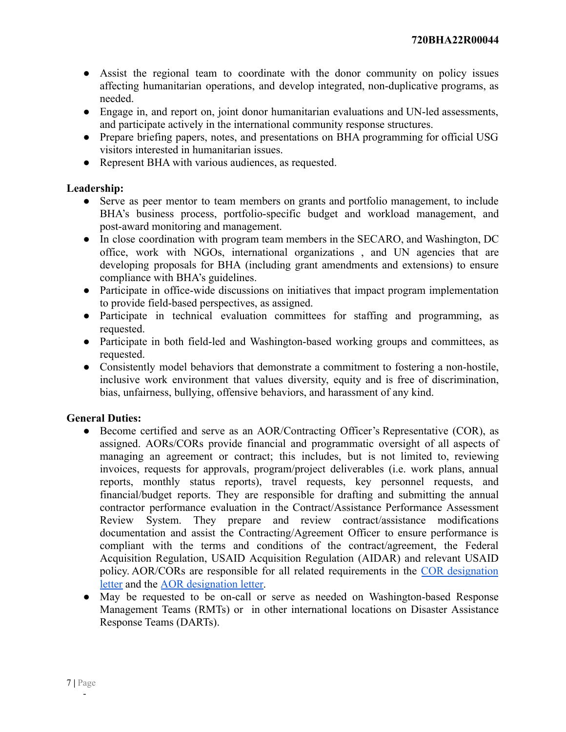- Assist the regional team to coordinate with the donor community on policy issues affecting humanitarian operations, and develop integrated, non-duplicative programs, as needed.
- Engage in, and report on, joint donor humanitarian evaluations and UN-led assessments, and participate actively in the international community response structures.
- Prepare briefing papers, notes, and presentations on BHA programming for official USG visitors interested in humanitarian issues.
- Represent BHA with various audiences, as requested.

## **Leadership:**

- **●** Serve as peer mentor to team members on grants and portfolio management, to include BHA's business process, portfolio-specific budget and workload management, and post-award monitoring and management.
- **●** In close coordination with program team members in the SECARO, and Washington, DC office, work with NGOs, international organizations , and UN agencies that are developing proposals for BHA (including grant amendments and extensions) to ensure compliance with BHA's guidelines.
- **●** Participate in office-wide discussions on initiatives that impact program implementation to provide field-based perspectives, as assigned.
- Participate in technical evaluation committees for staffing and programming, as requested.
- Participate in both field-led and Washington-based working groups and committees, as requested.
- Consistently model behaviors that demonstrate a commitment to fostering a non-hostile, inclusive work environment that values diversity, equity and is free of discrimination, bias, unfairness, bullying, offensive behaviors, and harassment of any kind.

## **General Duties:**

- Become certified and serve as an AOR/Contracting Officer's Representative (COR), as assigned. AORs/CORs provide financial and programmatic oversight of all aspects of managing an agreement or contract; this includes, but is not limited to, reviewing invoices, requests for approvals, program/project deliverables (i.e. work plans, annual reports, monthly status reports), travel requests, key personnel requests, and financial/budget reports. They are responsible for drafting and submitting the annual contractor performance evaluation in the Contract/Assistance Performance Assessment Review System. They prepare and review contract/assistance modifications documentation and assist the Contracting/Agreement Officer to ensure performance is compliant with the terms and conditions of the contract/agreement, the Federal Acquisition Regulation, USAID Acquisition Regulation (AIDAR) and relevant USAID policy. AOR/CORs are responsible for all related requirements in the COR [designation](https://www.usaid.gov/ads/policy/300/302mar) [letter](https://www.usaid.gov/ads/policy/300/302mar) and the [AOR designation letter.](https://www.usaid.gov/ads/policy/300/303mai)
- May be requested to be on-call or serve as needed on Washington-based Response Management Teams (RMTs) or in other international locations on Disaster Assistance Response Teams (DARTs).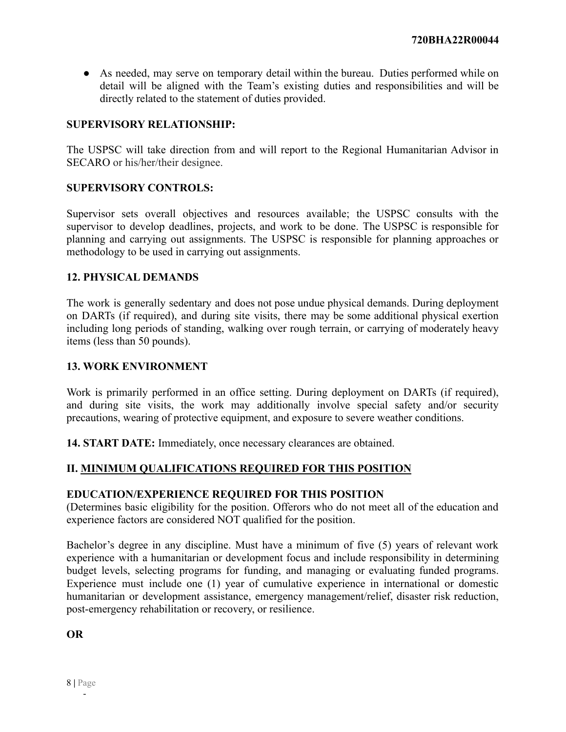● As needed, may serve on temporary detail within the bureau. Duties performed while on detail will be aligned with the Team's existing duties and responsibilities and will be directly related to the statement of duties provided.

## **SUPERVISORY RELATIONSHIP:**

The USPSC will take direction from and will report to the Regional Humanitarian Advisor in SECARO or his/her/their designee.

#### **SUPERVISORY CONTROLS:**

Supervisor sets overall objectives and resources available; the USPSC consults with the supervisor to develop deadlines, projects, and work to be done. The USPSC is responsible for planning and carrying out assignments. The USPSC is responsible for planning approaches or methodology to be used in carrying out assignments.

### **12. PHYSICAL DEMANDS**

The work is generally sedentary and does not pose undue physical demands. During deployment on DARTs (if required), and during site visits, there may be some additional physical exertion including long periods of standing, walking over rough terrain, or carrying of moderately heavy items (less than 50 pounds).

#### **13. WORK ENVIRONMENT**

Work is primarily performed in an office setting. During deployment on DARTs (if required), and during site visits, the work may additionally involve special safety and/or security precautions, wearing of protective equipment, and exposure to severe weather conditions.

**14. START DATE:** Immediately, once necessary clearances are obtained.

## **II. MINIMUM QUALIFICATIONS REQUIRED FOR THIS POSITION**

#### **EDUCATION/EXPERIENCE REQUIRED FOR THIS POSITION**

(Determines basic eligibility for the position. Offerors who do not meet all of the education and experience factors are considered NOT qualified for the position.

Bachelor's degree in any discipline. Must have a minimum of five (5) years of relevant work experience with a humanitarian or development focus and include responsibility in determining budget levels, selecting programs for funding, and managing or evaluating funded programs. Experience must include one (1) year of cumulative experience in international or domestic humanitarian or development assistance, emergency management/relief, disaster risk reduction, post-emergency rehabilitation or recovery, or resilience.

**OR**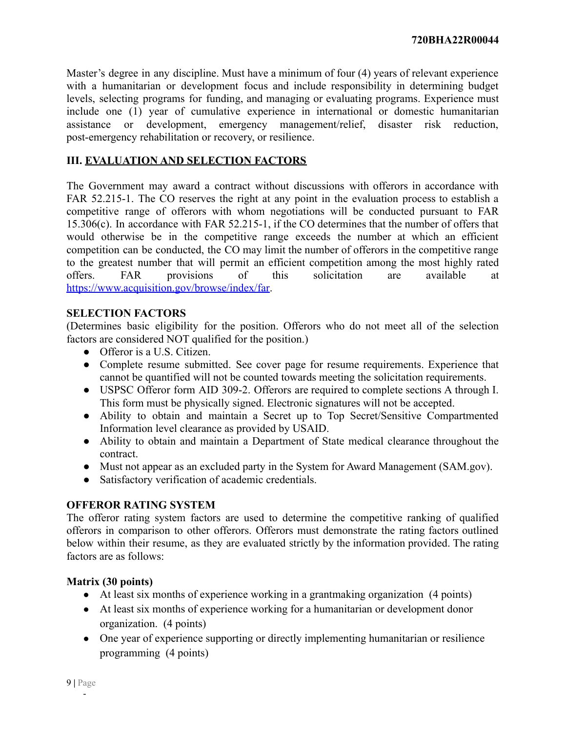Master's degree in any discipline. Must have a minimum of four (4) years of relevant experience with a humanitarian or development focus and include responsibility in determining budget levels, selecting programs for funding, and managing or evaluating programs. Experience must include one (1) year of cumulative experience in international or domestic humanitarian assistance or development, emergency management/relief, disaster risk reduction, post-emergency rehabilitation or recovery, or resilience.

## **III. EVALUATION AND SELECTION FACTORS**

The Government may award a contract without discussions with offerors in accordance with FAR 52.215-1. The CO reserves the right at any point in the evaluation process to establish a competitive range of offerors with whom negotiations will be conducted pursuant to FAR 15.306(c). In accordance with FAR 52.215-1, if the CO determines that the number of offers that would otherwise be in the competitive range exceeds the number at which an efficient competition can be conducted, the CO may limit the number of offerors in the competitive range to the greatest number that will permit an efficient competition among the most highly rated offers. FAR provisions of this solicitation are available at [https://www.acquisition.gov/browse/index/far.](https://www.acquisition.gov/browse/index/far)

## **SELECTION FACTORS**

(Determines basic eligibility for the position. Offerors who do not meet all of the selection factors are considered NOT qualified for the position.)

- Offeror is a U.S. Citizen.
- Complete resume submitted. See cover page for resume requirements. Experience that cannot be quantified will not be counted towards meeting the solicitation requirements.
- USPSC Offeror form AID 309-2. Offerors are required to complete sections A through I. This form must be physically signed. Electronic signatures will not be accepted.
- Ability to obtain and maintain a Secret up to Top Secret/Sensitive Compartmented Information level clearance as provided by USAID.
- **●** Ability to obtain and maintain a Department of State medical clearance throughout the contract.
- **●** Must not appear as an excluded party in the System for Award Management (SAM.gov).
- **●** Satisfactory verification of academic credentials.

## **OFFEROR RATING SYSTEM**

The offeror rating system factors are used to determine the competitive ranking of qualified offerors in comparison to other offerors. Offerors must demonstrate the rating factors outlined below within their resume, as they are evaluated strictly by the information provided. The rating factors are as follows:

## **Matrix (30 points)**

- **●** At least six months of experience working in a grantmaking organization (4 points)
- **●** At least six months of experience working for a humanitarian or development donor organization. (4 points)
- One year of experience supporting or directly implementing humanitarian or resilience programming (4 points)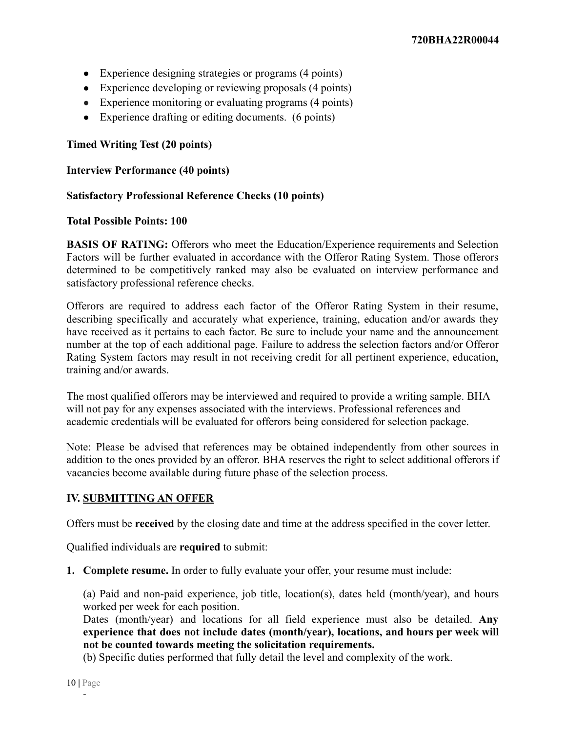- Experience designing strategies or programs (4 points)
- Experience developing or reviewing proposals (4 points)
- Experience monitoring or evaluating programs (4 points)
- Experience drafting or editing documents. (6 points)

#### **Timed Writing Test (20 points)**

#### **Interview Performance (40 points)**

#### **Satisfactory Professional Reference Checks (10 points)**

#### **Total Possible Points: 100**

**BASIS OF RATING:** Offerors who meet the Education/Experience requirements and Selection Factors will be further evaluated in accordance with the Offeror Rating System. Those offerors determined to be competitively ranked may also be evaluated on interview performance and satisfactory professional reference checks.

Offerors are required to address each factor of the Offeror Rating System in their resume, describing specifically and accurately what experience, training, education and/or awards they have received as it pertains to each factor. Be sure to include your name and the announcement number at the top of each additional page. Failure to address the selection factors and/or Offeror Rating System factors may result in not receiving credit for all pertinent experience, education, training and/or awards.

The most qualified offerors may be interviewed and required to provide a writing sample. BHA will not pay for any expenses associated with the interviews. Professional references and academic credentials will be evaluated for offerors being considered for selection package.

Note: Please be advised that references may be obtained independently from other sources in addition to the ones provided by an offeror. BHA reserves the right to select additional offerors if vacancies become available during future phase of the selection process.

## **IV. SUBMITTING AN OFFER**

Offers must be **received** by the closing date and time at the address specified in the cover letter.

Qualified individuals are **required** to submit:

**1. Complete resume.** In order to fully evaluate your offer, your resume must include:

(a) Paid and non-paid experience, job title, location(s), dates held (month/year), and hours worked per week for each position.

Dates (month/year) and locations for all field experience must also be detailed. **Any experience that does not include dates (month/year), locations, and hours per week will not be counted towards meeting the solicitation requirements.**

(b) Specific duties performed that fully detail the level and complexity of the work.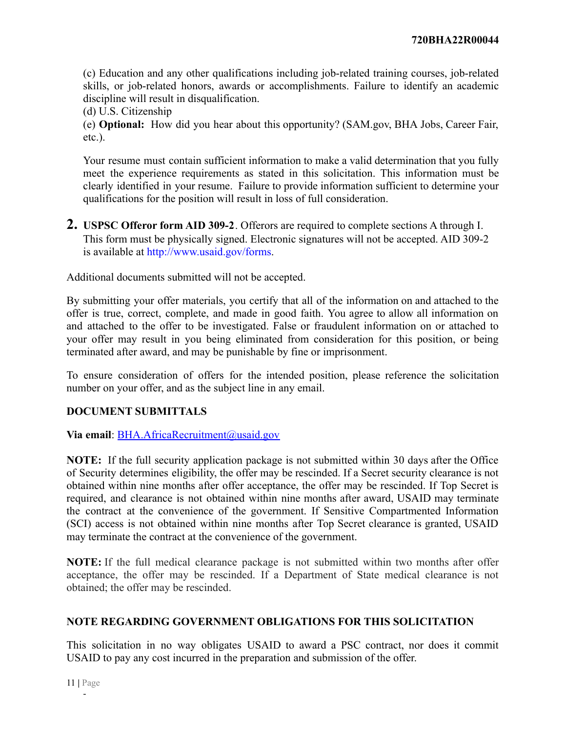(c) Education and any other qualifications including job-related training courses, job-related skills, or job-related honors, awards or accomplishments. Failure to identify an academic discipline will result in disqualification.

(d) U.S. Citizenship

(e) **Optional:** How did you hear about this opportunity? (SAM.gov, BHA Jobs, Career Fair, etc.).

Your resume must contain sufficient information to make a valid determination that you fully meet the experience requirements as stated in this solicitation. This information must be clearly identified in your resume. Failure to provide information sufficient to determine your qualifications for the position will result in loss of full consideration.

**2. USPSC Offeror form AID 309-2**. Offerors are required to complete sections A through I. This form must be physically signed. Electronic signatures will not be accepted. AID 309-2 is available at http://www.usaid.gov/forms.

Additional documents submitted will not be accepted.

By submitting your offer materials, you certify that all of the information on and attached to the offer is true, correct, complete, and made in good faith. You agree to allow all information on and attached to the offer to be investigated. False or fraudulent information on or attached to your offer may result in you being eliminated from consideration for this position, or being terminated after award, and may be punishable by fine or imprisonment.

To ensure consideration of offers for the intended position, please reference the solicitation number on your offer, and as the subject line in any email.

#### **DOCUMENT SUBMITTALS**

**Via email: [BHA.AfricaRecruitment@usaid.gov](mailto:BHA.AfricaRecruitment@usaid.gov)** 

**NOTE:** If the full security application package is not submitted within 30 days after the Office of Security determines eligibility, the offer may be rescinded. If a Secret security clearance is not obtained within nine months after offer acceptance, the offer may be rescinded. If Top Secret is required, and clearance is not obtained within nine months after award, USAID may terminate the contract at the convenience of the government. If Sensitive Compartmented Information (SCI) access is not obtained within nine months after Top Secret clearance is granted, USAID may terminate the contract at the convenience of the government.

**NOTE:** If the full medical clearance package is not submitted within two months after offer acceptance, the offer may be rescinded. If a Department of State medical clearance is not obtained; the offer may be rescinded.

## **NOTE REGARDING GOVERNMENT OBLIGATIONS FOR THIS SOLICITATION**

This solicitation in no way obligates USAID to award a PSC contract, nor does it commit USAID to pay any cost incurred in the preparation and submission of the offer.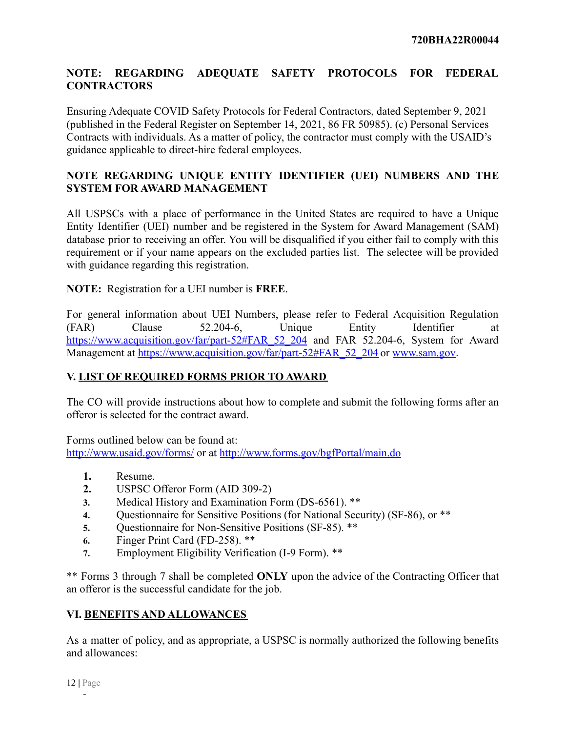## **NOTE: REGARDING ADEQUATE SAFETY PROTOCOLS FOR FEDERAL CONTRACTORS**

Ensuring Adequate COVID Safety Protocols for Federal Contractors, dated September 9, 2021 (published in the Federal Register on September 14, 2021, 86 FR 50985). (c) Personal Services Contracts with individuals. As a matter of policy, the contractor must comply with the USAID's guidance applicable to direct-hire federal employees.

## **NOTE REGARDING UNIQUE ENTITY IDENTIFIER (UEI) NUMBERS AND THE SYSTEM FOR AWARD MANAGEMENT**

All USPSCs with a place of performance in the United States are required to have a Unique Entity Identifier (UEI) number and be registered in the System for Award Management (SAM) database prior to receiving an offer. You will be disqualified if you either fail to comply with this requirement or if your name appears on the excluded parties list. The selectee will be provided with guidance regarding this registration.

**NOTE:** Registration for a UEI number is **FREE**.

For general information about UEI Numbers, please refer to Federal Acquisition Regulation (FAR) Clause 52.204-6, Unique Entity Identifier at https://www.acquisition.gov/far/part-52#FAR 52 204 and FAR 52.204-6, System for Award Management at [https://www.acquisition.gov/far/part-52#FAR\\_52\\_204](https://www.acquisition.gov/far/part-52#FAR_52_204) or [www.sam.gov](http://www.sam.gov/).

## **V. LIST OF REQUIRED FORMS PRIOR TO AWARD**

The CO will provide instructions about how to complete and submit the following forms after an offeror is selected for the contract award.

Forms outlined below can be found at: <http://www.usaid.gov/forms/> or at <http://www.forms.gov/bgfPortal/main.do>

- **1.** Resume.
- **2.** USPSC Offeror Form (AID 309-2)
- **3.** Medical History and Examination Form (DS-6561). \*\*
- **4.** Questionnaire for Sensitive Positions (for National Security) (SF-86), or \*\*
- **5.** Questionnaire for Non-Sensitive Positions (SF-85). \*\*
- **6.** Finger Print Card (FD-258). \*\*
- **7.** Employment Eligibility Verification (I-9 Form). \*\*

\*\* Forms 3 through 7 shall be completed **ONLY** upon the advice of the Contracting Officer that an offeror is the successful candidate for the job.

#### **VI. BENEFITS AND ALLOWANCES**

As a matter of policy, and as appropriate, a USPSC is normally authorized the following benefits and allowances: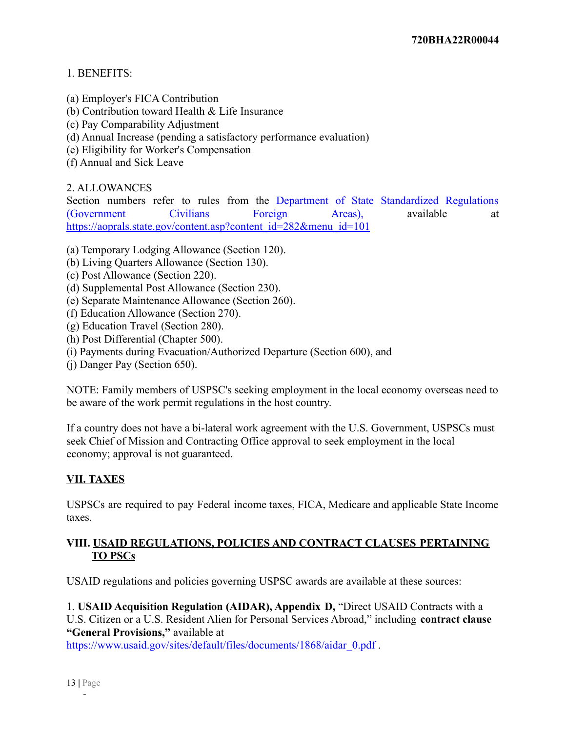## 1. BENEFITS:

- (a) Employer's FICA Contribution
- (b) Contribution toward Health & Life Insurance
- (c) Pay Comparability Adjustment
- (d) Annual Increase (pending a satisfactory performance evaluation)
- (e) Eligibility for Worker's Compensation
- (f) Annual and Sick Leave

2. ALLOWANCES

Section numbers refer to rules from the Department of State Standardized Regulations (Government Civilians Foreign Areas), available at [https://aoprals.state.gov/content.asp?content\\_id=282&menu\\_id=101](https://aoprals.state.gov/content.asp?content_id=282&menu_id=101)

- (a) Temporary Lodging Allowance (Section 120).
- (b) Living Quarters Allowance (Section 130).
- (c) Post Allowance (Section 220).
- (d) Supplemental Post Allowance (Section 230).
- (e) Separate Maintenance Allowance (Section 260).
- (f) Education Allowance (Section 270).
- (g) Education Travel (Section 280).
- (h) Post Differential (Chapter 500).
- (i) Payments during Evacuation/Authorized Departure (Section 600), and
- (j) Danger Pay (Section 650).

NOTE: Family members of USPSC's seeking employment in the local economy overseas need to be aware of the work permit regulations in the host country.

If a country does not have a bi-lateral work agreement with the U.S. Government, USPSCs must seek Chief of Mission and Contracting Office approval to seek employment in the local economy; approval is not guaranteed.

## **VII. TAXES**

USPSCs are required to pay Federal income taxes, FICA, Medicare and applicable State Income taxes.

## **VIII. USAID REGULATIONS, POLICIES AND CONTRACT CLAUSES PERTAINING TO PSCs**

USAID regulations and policies governing USPSC awards are available at these sources:

1. **USAID Acquisition Regulation (AIDAR), Appendix D,** "Direct USAID Contracts with a U.S. Citizen or a U.S. Resident Alien for Personal Services Abroad," including **contract clause "General Provisions,"** available at

https://www.usaid.gov/sites/default/files/documents/1868/aidar\_0.pdf.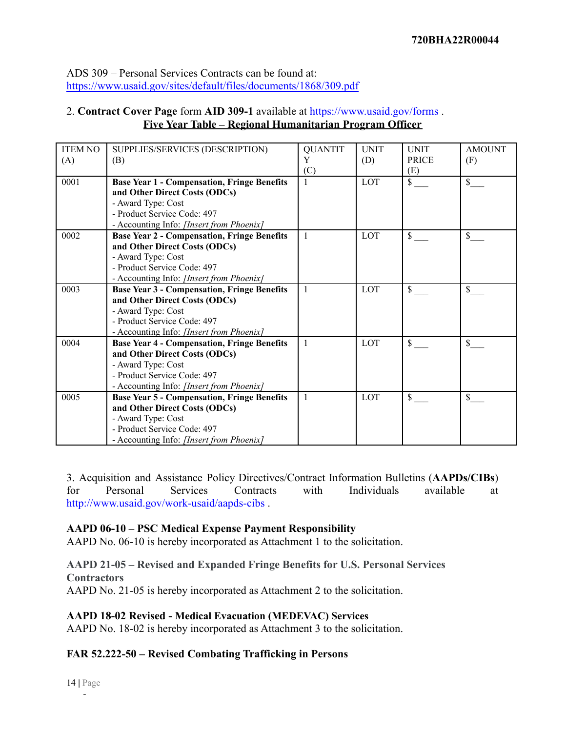ADS 309 – Personal Services Contracts can be found at: <https://www.usaid.gov/sites/default/files/documents/1868/309.pdf>

#### 2. **Contract Cover Page** form **AID 309-1** available at https://www.usaid.gov/forms . **Five Year Table – Regional Humanitarian Program Officer**

| <b>ITEM NO</b> | SUPPLIES/SERVICES (DESCRIPTION)                                                     | <b>QUANTIT</b>      | <b>UNIT</b> | <b>UNIT</b>         | <b>AMOUNT</b> |
|----------------|-------------------------------------------------------------------------------------|---------------------|-------------|---------------------|---------------|
| (A)            | (B)                                                                                 | Y                   | (D)         | <b>PRICE</b>        | (F)           |
| 0001           | <b>Base Year 1 - Compensation, Fringe Benefits</b>                                  | (C)<br>$\mathbf{1}$ | LOT         | (E)<br>$\mathbb{S}$ | \$            |
|                | and Other Direct Costs (ODCs)                                                       |                     |             |                     |               |
|                | - Award Type: Cost                                                                  |                     |             |                     |               |
|                | - Product Service Code: 497                                                         |                     |             |                     |               |
|                | - Accounting Info: [Insert from Phoenix]                                            |                     |             |                     |               |
| 0002           | <b>Base Year 2 - Compensation, Fringe Benefits</b>                                  | $\mathbf{1}$        | LOT         | $\mathbb{S}$        | $\mathsf{\$}$ |
|                | and Other Direct Costs (ODCs)                                                       |                     |             |                     |               |
|                | - Award Type: Cost                                                                  |                     |             |                     |               |
|                | - Product Service Code: 497                                                         |                     |             |                     |               |
|                | - Accounting Info: [Insert from Phoenix]                                            |                     |             |                     |               |
| 0003           | <b>Base Year 3 - Compensation, Fringe Benefits</b>                                  | $\overline{1}$      | LOT         | $\mathbb{S}$        | \$            |
|                | and Other Direct Costs (ODCs)                                                       |                     |             |                     |               |
|                | - Award Type: Cost<br>- Product Service Code: 497                                   |                     |             |                     |               |
|                |                                                                                     |                     |             |                     |               |
| 0004           | - Accounting Info: [Insert from Phoenix]                                            | $\mathbf{1}$        | LOT         | $\mathbb{S}$        | \$            |
|                | <b>Base Year 4 - Compensation, Fringe Benefits</b><br>and Other Direct Costs (ODCs) |                     |             |                     |               |
|                | - Award Type: Cost                                                                  |                     |             |                     |               |
|                | - Product Service Code: 497                                                         |                     |             |                     |               |
|                | - Accounting Info: [Insert from Phoenix]                                            |                     |             |                     |               |
| 0005           | <b>Base Year 5 - Compensation, Fringe Benefits</b>                                  | $\mathbf{1}$        | LOT         | $\mathsf{\$}$       | \$            |
|                | and Other Direct Costs (ODCs)                                                       |                     |             |                     |               |
|                | - Award Type: Cost                                                                  |                     |             |                     |               |
|                | - Product Service Code: 497                                                         |                     |             |                     |               |
|                | - Accounting Info: [Insert from Phoenix]                                            |                     |             |                     |               |

3. Acquisition and Assistance Policy Directives/Contract Information Bulletins (**AAPDs/CIBs**) for Personal Services Contracts with Individuals available at http://www.usaid.gov/work-usaid/aapds-cibs .

#### **AAPD 06-10 – PSC Medical Expense Payment Responsibility**

AAPD No. 06-10 is hereby incorporated as Attachment 1 to the solicitation.

# **AAPD 21-05 – Revised and Expanded Fringe Benefits for U.S. Personal Services Contractors**

AAPD No. 21-05 is hereby incorporated as Attachment 2 to the solicitation.

#### **AAPD 18-02 Revised - Medical Evacuation (MEDEVAC) Services**

AAPD No. 18-02 is hereby incorporated as Attachment 3 to the solicitation.

## **FAR 52.222-50 – Revised Combating Trafficking in Persons**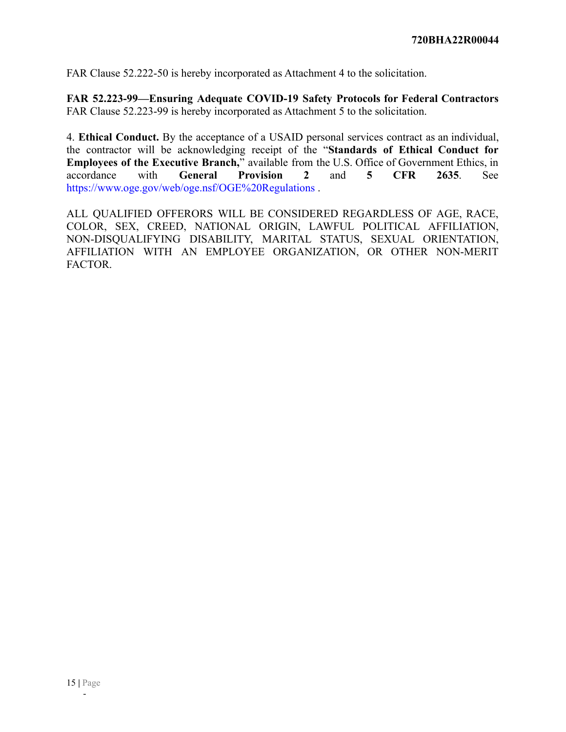FAR Clause 52.222-50 is hereby incorporated as Attachment 4 to the solicitation.

**FAR 52.223-99—Ensuring Adequate COVID-19 Safety Protocols for Federal Contractors** FAR Clause 52.223-99 is hereby incorporated as Attachment 5 to the solicitation.

4. **Ethical Conduct.** By the acceptance of a USAID personal services contract as an individual, the contractor will be acknowledging receipt of the "**Standards of Ethical Conduct for Employees of the Executive Branch,**" available from the U.S. Office of Government Ethics, in accordance with **General Provision 2** and **5 CFR 2635**. See https://www.oge.gov/web/oge.nsf/OGE%20Regulations .

ALL QUALIFIED OFFERORS WILL BE CONSIDERED REGARDLESS OF AGE, RACE, COLOR, SEX, CREED, NATIONAL ORIGIN, LAWFUL POLITICAL AFFILIATION, NON-DISQUALIFYING DISABILITY, MARITAL STATUS, SEXUAL ORIENTATION, AFFILIATION WITH AN EMPLOYEE ORGANIZATION, OR OTHER NON-MERIT FACTOR.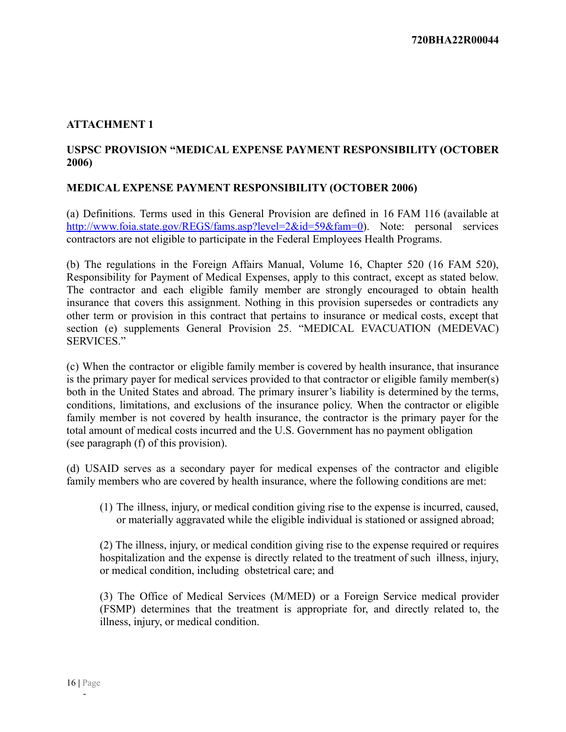## **ATTACHMENT 1**

## **USPSC PROVISION "MEDICAL EXPENSE PAYMENT RESPONSIBILITY (OCTOBER 2006)**

#### **MEDICAL EXPENSE PAYMENT RESPONSIBILITY (OCTOBER 2006)**

(a) Definitions. Terms used in this General Provision are defined in 16 FAM 116 (available at [http://www.foia.state.gov/REGS/fams.asp?level=2&id=59&fam=0\)](http://www.foia.state.gov/REGS/fams.asp?level=2&id=59&fam=0). Note: personal services contractors are not eligible to participate in the Federal Employees Health Programs.

(b) The regulations in the Foreign Affairs Manual, Volume 16, Chapter 520 (16 FAM 520), Responsibility for Payment of Medical Expenses, apply to this contract, except as stated below. The contractor and each eligible family member are strongly encouraged to obtain health insurance that covers this assignment. Nothing in this provision supersedes or contradicts any other term or provision in this contract that pertains to insurance or medical costs, except that section (e) supplements General Provision 25. "MEDICAL EVACUATION (MEDEVAC) SERVICES."

(c) When the contractor or eligible family member is covered by health insurance, that insurance is the primary payer for medical services provided to that contractor or eligible family member(s) both in the United States and abroad. The primary insurer's liability is determined by the terms, conditions, limitations, and exclusions of the insurance policy. When the contractor or eligible family member is not covered by health insurance, the contractor is the primary payer for the total amount of medical costs incurred and the U.S. Government has no payment obligation (see paragraph (f) of this provision).

(d) USAID serves as a secondary payer for medical expenses of the contractor and eligible family members who are covered by health insurance, where the following conditions are met:

(1) The illness, injury, or medical condition giving rise to the expense is incurred, caused, or materially aggravated while the eligible individual is stationed or assigned abroad;

(2) The illness, injury, or medical condition giving rise to the expense required or requires hospitalization and the expense is directly related to the treatment of such illness, injury, or medical condition, including obstetrical care; and

(3) The Office of Medical Services (M/MED) or a Foreign Service medical provider (FSMP) determines that the treatment is appropriate for, and directly related to, the illness, injury, or medical condition.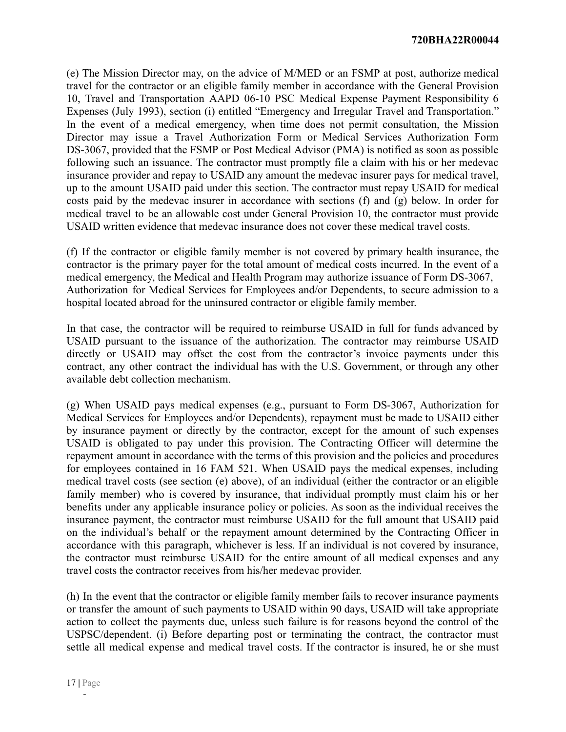(e) The Mission Director may, on the advice of M/MED or an FSMP at post, authorize medical travel for the contractor or an eligible family member in accordance with the General Provision 10, Travel and Transportation AAPD 06-10 PSC Medical Expense Payment Responsibility 6 Expenses (July 1993), section (i) entitled "Emergency and Irregular Travel and Transportation." In the event of a medical emergency, when time does not permit consultation, the Mission Director may issue a Travel Authorization Form or Medical Services Authorization Form DS-3067, provided that the FSMP or Post Medical Advisor (PMA) is notified as soon as possible following such an issuance. The contractor must promptly file a claim with his or her medevac insurance provider and repay to USAID any amount the medevac insurer pays for medical travel, up to the amount USAID paid under this section. The contractor must repay USAID for medical costs paid by the medevac insurer in accordance with sections (f) and (g) below. In order for medical travel to be an allowable cost under General Provision 10, the contractor must provide USAID written evidence that medevac insurance does not cover these medical travel costs.

(f) If the contractor or eligible family member is not covered by primary health insurance, the contractor is the primary payer for the total amount of medical costs incurred. In the event of a medical emergency, the Medical and Health Program may authorize issuance of Form DS-3067, Authorization for Medical Services for Employees and/or Dependents, to secure admission to a hospital located abroad for the uninsured contractor or eligible family member.

In that case, the contractor will be required to reimburse USAID in full for funds advanced by USAID pursuant to the issuance of the authorization. The contractor may reimburse USAID directly or USAID may offset the cost from the contractor's invoice payments under this contract, any other contract the individual has with the U.S. Government, or through any other available debt collection mechanism.

(g) When USAID pays medical expenses (e.g., pursuant to Form DS-3067, Authorization for Medical Services for Employees and/or Dependents), repayment must be made to USAID either by insurance payment or directly by the contractor, except for the amount of such expenses USAID is obligated to pay under this provision. The Contracting Officer will determine the repayment amount in accordance with the terms of this provision and the policies and procedures for employees contained in 16 FAM 521. When USAID pays the medical expenses, including medical travel costs (see section (e) above), of an individual (either the contractor or an eligible family member) who is covered by insurance, that individual promptly must claim his or her benefits under any applicable insurance policy or policies. As soon as the individual receives the insurance payment, the contractor must reimburse USAID for the full amount that USAID paid on the individual's behalf or the repayment amount determined by the Contracting Officer in accordance with this paragraph, whichever is less. If an individual is not covered by insurance, the contractor must reimburse USAID for the entire amount of all medical expenses and any travel costs the contractor receives from his/her medevac provider.

(h) In the event that the contractor or eligible family member fails to recover insurance payments or transfer the amount of such payments to USAID within 90 days, USAID will take appropriate action to collect the payments due, unless such failure is for reasons beyond the control of the USPSC/dependent. (i) Before departing post or terminating the contract, the contractor must settle all medical expense and medical travel costs. If the contractor is insured, he or she must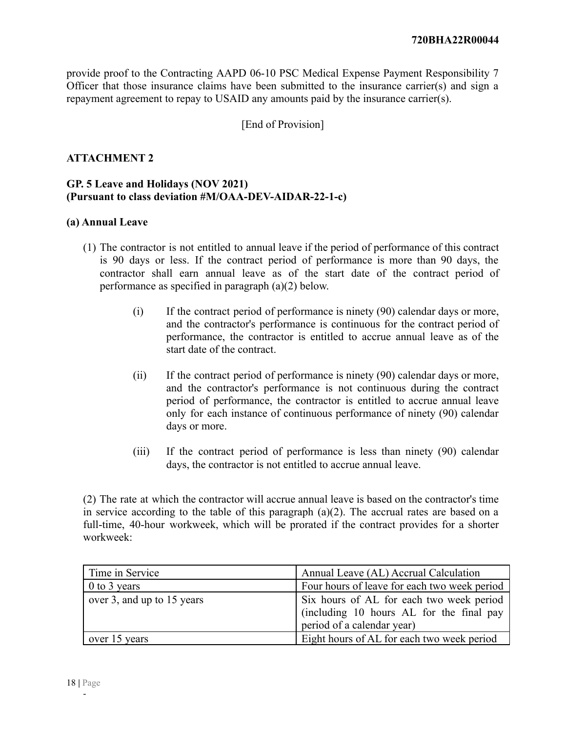provide proof to the Contracting AAPD 06-10 PSC Medical Expense Payment Responsibility 7 Officer that those insurance claims have been submitted to the insurance carrier(s) and sign a repayment agreement to repay to USAID any amounts paid by the insurance carrier(s).

[End of Provision]

### **ATTACHMENT 2**

## **GP. 5 Leave and Holidays (NOV 2021) (Pursuant to class deviation #M/OAA-DEV-AIDAR-22-1-c)**

#### **(a) Annual Leave**

- (1) The contractor is not entitled to annual leave if the period of performance of this contract is 90 days or less. If the contract period of performance is more than 90 days, the contractor shall earn annual leave as of the start date of the contract period of performance as specified in paragraph (a)(2) below.
	- (i) If the contract period of performance is ninety (90) calendar days or more, and the contractor's performance is continuous for the contract period of performance, the contractor is entitled to accrue annual leave as of the start date of the contract.
	- (ii) If the contract period of performance is ninety (90) calendar days or more, and the contractor's performance is not continuous during the contract period of performance, the contractor is entitled to accrue annual leave only for each instance of continuous performance of ninety (90) calendar days or more.
	- (iii) If the contract period of performance is less than ninety (90) calendar days, the contractor is not entitled to accrue annual leave.

(2) The rate at which the contractor will accrue annual leave is based on the contractor's time in service according to the table of this paragraph (a)(2). The accrual rates are based on a full-time, 40-hour workweek, which will be prorated if the contract provides for a shorter workweek:

| Time in Service              | Annual Leave (AL) Accrual Calculation                                                                              |
|------------------------------|--------------------------------------------------------------------------------------------------------------------|
| $\vert$ 0 to 3 years         | Four hours of leave for each two week period                                                                       |
| over 3, and up to $15$ years | Six hours of AL for each two week period<br>(including 10 hours AL for the final pay<br>period of a calendar year) |
| $\sqrt{ }$ over 15 years     | Eight hours of AL for each two week period                                                                         |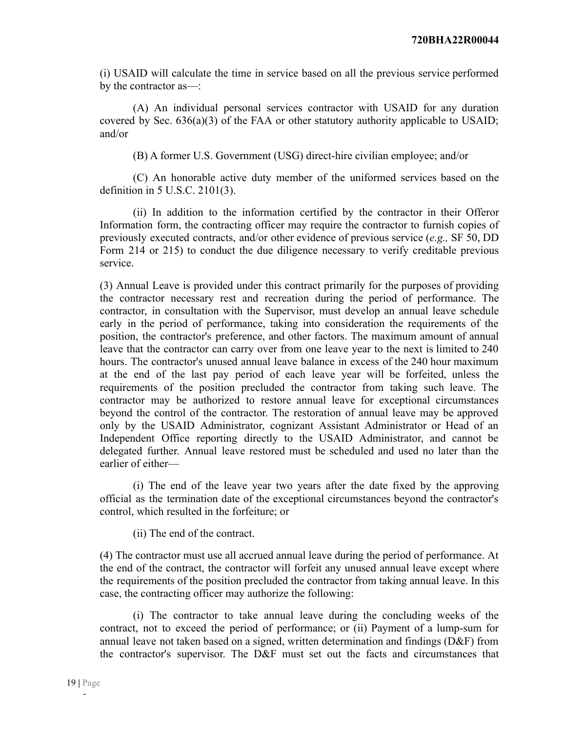(i) USAID will calculate the time in service based on all the previous service performed by the contractor as—:

(A) An individual personal services contractor with USAID for any duration covered by Sec. 636(a)(3) of the FAA or other statutory authority applicable to USAID; and/or

(B) A former U.S. Government (USG) direct-hire civilian employee; and/or

(C) An honorable active duty member of the uniformed services based on the definition in 5 U.S.C. 2101(3).

(ii) In addition to the information certified by the contractor in their Offeror Information form, the contracting officer may require the contractor to furnish copies of previously executed contracts, and/or other evidence of previous service (*e.g.,* SF 50, DD Form 214 or 215) to conduct the due diligence necessary to verify creditable previous service.

(3) Annual Leave is provided under this contract primarily for the purposes of providing the contractor necessary rest and recreation during the period of performance. The contractor, in consultation with the Supervisor, must develop an annual leave schedule early in the period of performance, taking into consideration the requirements of the position, the contractor's preference, and other factors. The maximum amount of annual leave that the contractor can carry over from one leave year to the next is limited to 240 hours. The contractor's unused annual leave balance in excess of the 240 hour maximum at the end of the last pay period of each leave year will be forfeited, unless the requirements of the position precluded the contractor from taking such leave. The contractor may be authorized to restore annual leave for exceptional circumstances beyond the control of the contractor. The restoration of annual leave may be approved only by the USAID Administrator, cognizant Assistant Administrator or Head of an Independent Office reporting directly to the USAID Administrator, and cannot be delegated further. Annual leave restored must be scheduled and used no later than the earlier of either—

(i) The end of the leave year two years after the date fixed by the approving official as the termination date of the exceptional circumstances beyond the contractor's control, which resulted in the forfeiture; or

(ii) The end of the contract.

(4) The contractor must use all accrued annual leave during the period of performance. At the end of the contract, the contractor will forfeit any unused annual leave except where the requirements of the position precluded the contractor from taking annual leave. In this case, the contracting officer may authorize the following:

(i) The contractor to take annual leave during the concluding weeks of the contract, not to exceed the period of performance; or (ii) Payment of a lump-sum for annual leave not taken based on a signed, written determination and findings (D&F) from the contractor's supervisor. The D&F must set out the facts and circumstances that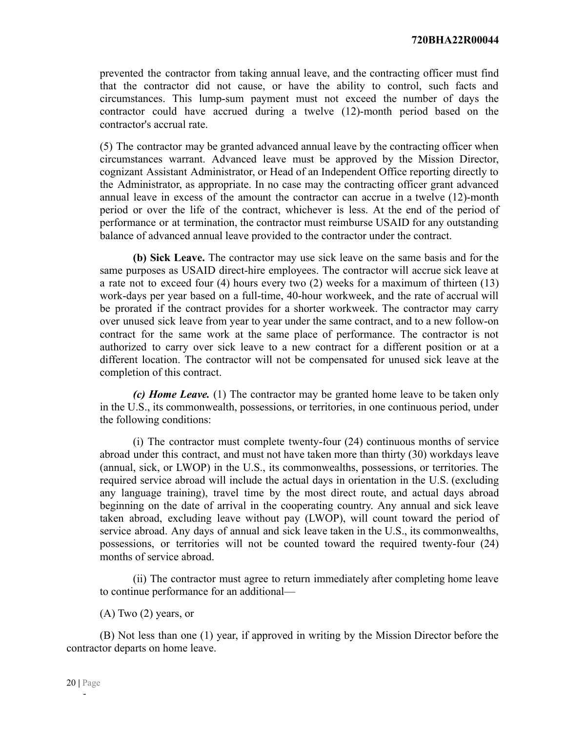prevented the contractor from taking annual leave, and the contracting officer must find that the contractor did not cause, or have the ability to control, such facts and circumstances. This lump-sum payment must not exceed the number of days the contractor could have accrued during a twelve (12)-month period based on the contractor's accrual rate.

(5) The contractor may be granted advanced annual leave by the contracting officer when circumstances warrant. Advanced leave must be approved by the Mission Director, cognizant Assistant Administrator, or Head of an Independent Office reporting directly to the Administrator, as appropriate. In no case may the contracting officer grant advanced annual leave in excess of the amount the contractor can accrue in a twelve (12)-month period or over the life of the contract, whichever is less. At the end of the period of performance or at termination, the contractor must reimburse USAID for any outstanding balance of advanced annual leave provided to the contractor under the contract.

**(b) Sick Leave.** The contractor may use sick leave on the same basis and for the same purposes as USAID direct-hire employees. The contractor will accrue sick leave at a rate not to exceed four (4) hours every two (2) weeks for a maximum of thirteen (13) work-days per year based on a full-time, 40-hour workweek, and the rate of accrual will be prorated if the contract provides for a shorter workweek. The contractor may carry over unused sick leave from year to year under the same contract, and to a new follow-on contract for the same work at the same place of performance. The contractor is not authorized to carry over sick leave to a new contract for a different position or at a different location. The contractor will not be compensated for unused sick leave at the completion of this contract.

*(c) Home Leave.* (1) The contractor may be granted home leave to be taken only in the U.S., its commonwealth, possessions, or territories, in one continuous period, under the following conditions:

(i) The contractor must complete twenty-four (24) continuous months of service abroad under this contract, and must not have taken more than thirty (30) workdays leave (annual, sick, or LWOP) in the U.S., its commonwealths, possessions, or territories. The required service abroad will include the actual days in orientation in the U.S. (excluding any language training), travel time by the most direct route, and actual days abroad beginning on the date of arrival in the cooperating country. Any annual and sick leave taken abroad, excluding leave without pay (LWOP), will count toward the period of service abroad. Any days of annual and sick leave taken in the U.S., its commonwealths, possessions, or territories will not be counted toward the required twenty-four (24) months of service abroad.

(ii) The contractor must agree to return immediately after completing home leave to continue performance for an additional—

(A) Two (2) years, or

(B) Not less than one (1) year, if approved in writing by the Mission Director before the contractor departs on home leave.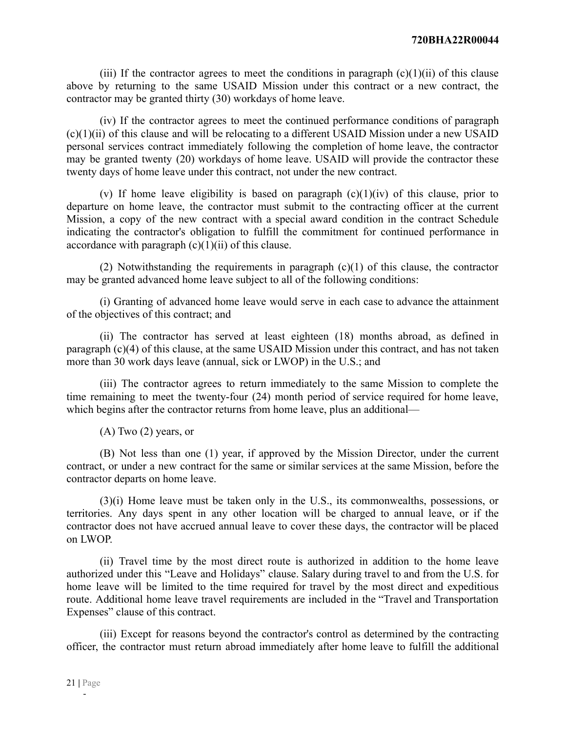(iii) If the contractor agrees to meet the conditions in paragraph  $(c)(1)(ii)$  of this clause above by returning to the same USAID Mission under this contract or a new contract, the contractor may be granted thirty (30) workdays of home leave.

(iv) If the contractor agrees to meet the continued performance conditions of paragraph (c)(1)(ii) of this clause and will be relocating to a different USAID Mission under a new USAID personal services contract immediately following the completion of home leave, the contractor may be granted twenty (20) workdays of home leave. USAID will provide the contractor these twenty days of home leave under this contract, not under the new contract.

(v) If home leave eligibility is based on paragraph  $(c)(1)(iv)$  of this clause, prior to departure on home leave, the contractor must submit to the contracting officer at the current Mission, a copy of the new contract with a special award condition in the contract Schedule indicating the contractor's obligation to fulfill the commitment for continued performance in accordance with paragraph  $(c)(1)(ii)$  of this clause.

(2) Notwithstanding the requirements in paragraph (c)(1) of this clause, the contractor may be granted advanced home leave subject to all of the following conditions:

(i) Granting of advanced home leave would serve in each case to advance the attainment of the objectives of this contract; and

(ii) The contractor has served at least eighteen (18) months abroad, as defined in paragraph (c)(4) of this clause, at the same USAID Mission under this contract, and has not taken more than 30 work days leave (annual, sick or LWOP) in the U.S.; and

(iii) The contractor agrees to return immediately to the same Mission to complete the time remaining to meet the twenty-four (24) month period of service required for home leave, which begins after the contractor returns from home leave, plus an additional—

(A) Two (2) years, or

(B) Not less than one (1) year, if approved by the Mission Director, under the current contract, or under a new contract for the same or similar services at the same Mission, before the contractor departs on home leave.

(3)(i) Home leave must be taken only in the U.S., its commonwealths, possessions, or territories. Any days spent in any other location will be charged to annual leave, or if the contractor does not have accrued annual leave to cover these days, the contractor will be placed on LWOP.

(ii) Travel time by the most direct route is authorized in addition to the home leave authorized under this "Leave and Holidays" clause. Salary during travel to and from the U.S. for home leave will be limited to the time required for travel by the most direct and expeditious route. Additional home leave travel requirements are included in the "Travel and Transportation Expenses" clause of this contract.

(iii) Except for reasons beyond the contractor's control as determined by the contracting officer, the contractor must return abroad immediately after home leave to fulfill the additional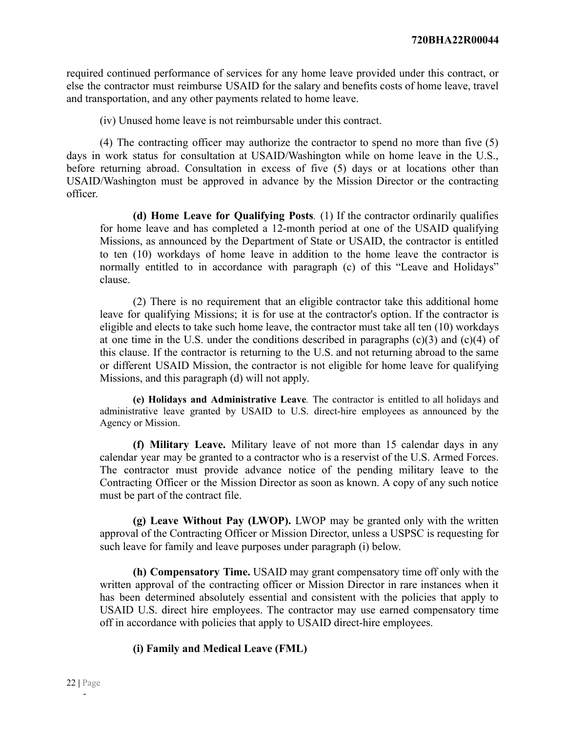required continued performance of services for any home leave provided under this contract, or else the contractor must reimburse USAID for the salary and benefits costs of home leave, travel and transportation, and any other payments related to home leave.

(iv) Unused home leave is not reimbursable under this contract.

(4) The contracting officer may authorize the contractor to spend no more than five (5) days in work status for consultation at USAID/Washington while on home leave in the U.S., before returning abroad. Consultation in excess of five (5) days or at locations other than USAID/Washington must be approved in advance by the Mission Director or the contracting officer.

**(d) Home Leave for Qualifying Posts***.* (1) If the contractor ordinarily qualifies for home leave and has completed a 12-month period at one of the USAID qualifying Missions, as announced by the Department of State or USAID, the contractor is entitled to ten (10) workdays of home leave in addition to the home leave the contractor is normally entitled to in accordance with paragraph (c) of this "Leave and Holidays" clause.

(2) There is no requirement that an eligible contractor take this additional home leave for qualifying Missions; it is for use at the contractor's option. If the contractor is eligible and elects to take such home leave, the contractor must take all ten (10) workdays at one time in the U.S. under the conditions described in paragraphs  $(c)(3)$  and  $(c)(4)$  of this clause. If the contractor is returning to the U.S. and not returning abroad to the same or different USAID Mission, the contractor is not eligible for home leave for qualifying Missions, and this paragraph (d) will not apply.

**(e) Holidays and Administrative Leave***.* The contractor is entitled to all holidays and administrative leave granted by USAID to U.S. direct-hire employees as announced by the Agency or Mission.

**(f) Military Leave.** Military leave of not more than 15 calendar days in any calendar year may be granted to a contractor who is a reservist of the U.S. Armed Forces. The contractor must provide advance notice of the pending military leave to the Contracting Officer or the Mission Director as soon as known. A copy of any such notice must be part of the contract file.

**(g) Leave Without Pay (LWOP).** LWOP may be granted only with the written approval of the Contracting Officer or Mission Director, unless a USPSC is requesting for such leave for family and leave purposes under paragraph (i) below.

**(h) Compensatory Time.** USAID may grant compensatory time off only with the written approval of the contracting officer or Mission Director in rare instances when it has been determined absolutely essential and consistent with the policies that apply to USAID U.S. direct hire employees. The contractor may use earned compensatory time off in accordance with policies that apply to USAID direct-hire employees.

## **(i) Family and Medical Leave (FML)**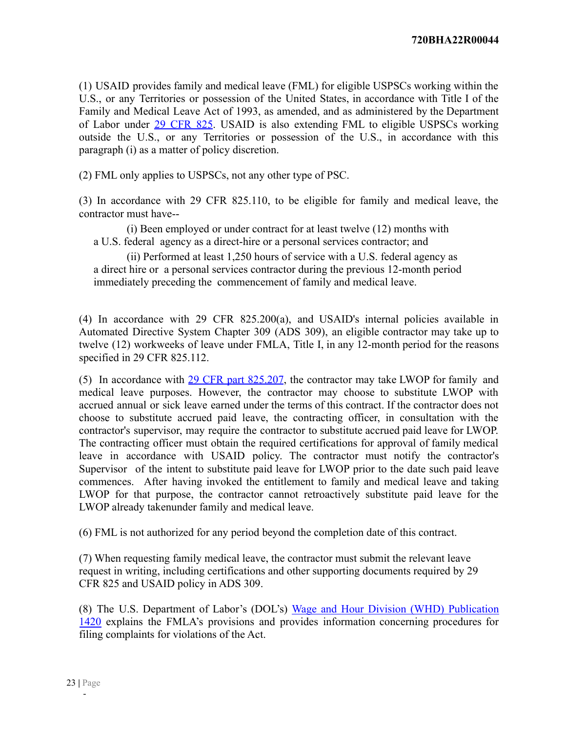(1) USAID provides family and medical leave (FML) for eligible USPSCs working within the U.S., or any Territories or possession of the United States, in accordance with Title I of the Family and Medical Leave Act of 1993, as amended, and as administered by the Department of Labor under 29 [CFR](https://www.ecfr.gov/cgi-bin/text-idx?SID=db0243f608afdb03943b0635a819c860&mc=true&tpl=/ecfrbrowse/Title29/29cfr825_main_02.tpl) 825. USAID is also extending FML to eligible USPSCs working outside the U.S., or any Territories or possession of the U.S., in accordance with this paragraph (i) as a matter of policy discretion.

(2) FML only applies to USPSCs, not any other type of PSC.

(3) In accordance with 29 CFR 825.110, to be eligible for family and medical leave, the contractor must have--

(i) Been employed or under contract for at least twelve (12) months with a U.S. federal agency as a direct-hire or a personal services contractor; and

(ii) Performed at least 1,250 hours of service with a U.S. federal agency as a direct hire or a personal services contractor during the previous 12-month period immediately preceding the commencement of family and medical leave.

(4) In accordance with 29 CFR 825.200(a), and USAID's internal policies available in Automated Directive System Chapter 309 (ADS 309), an eligible contractor may take up to twelve (12) workweeks of leave under FMLA, Title I, in any 12-month period for the reasons specified in 29 CFR 825.112.

(5) In accordance with 29 CFR part 825.207, the contractor may take LWOP for family and medical leave purposes. However, the contractor may choose to substitute LWOP with accrued annual or sick leave earned under the terms of this contract. If the contractor does not choose to substitute accrued paid leave, the contracting officer, in consultation with the contractor's supervisor, may require the contractor to substitute accrued paid leave for LWOP. The contracting officer must obtain the required certifications for approval of family medical leave in accordance with USAID policy. The contractor must notify the contractor's Supervisor of the intent to substitute paid leave for LWOP prior to the date such paid leave commences. After having invoked the entitlement to family and medical leave and taking LWOP for that purpose, the contractor cannot retroactively substitute paid leave for the LWOP already takenunder family and medical leave.

(6) FML is not authorized for any period beyond the completion date of this contract.

(7) When requesting family medical leave, the contractor must submit the relevant leave request in writing, including certifications and other supporting documents required by 29 CFR 825 and USAID policy in ADS 309.

(8) The U.S. Department of Labor's (DOL's) Wage and Hour Division (WHD) [Publication](https://www.dol.gov/whd/regs/compliance/posters/fmlaen.pdf) [1420](https://www.dol.gov/whd/regs/compliance/posters/fmlaen.pdf) explains the FMLA's provisions and provides information concerning procedures for filing complaints for violations of the Act.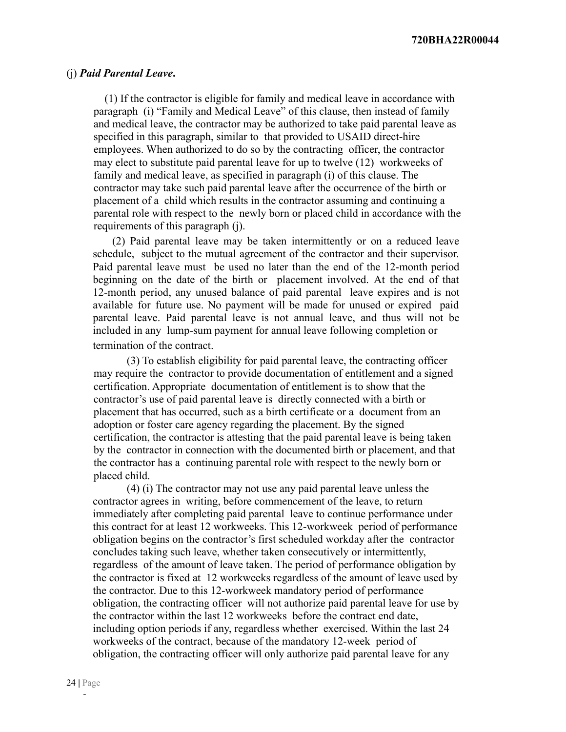**720BHA22R00044**

#### (j) *Paid Parental Leave***.**

(1) If the contractor is eligible for family and medical leave in accordance with paragraph (i) "Family and Medical Leave" of this clause, then instead of family and medical leave, the contractor may be authorized to take paid parental leave as specified in this paragraph, similar to that provided to USAID direct-hire employees. When authorized to do so by the contracting officer, the contractor may elect to substitute paid parental leave for up to twelve (12) workweeks of family and medical leave, as specified in paragraph (i) of this clause. The contractor may take such paid parental leave after the occurrence of the birth or placement of a child which results in the contractor assuming and continuing a parental role with respect to the newly born or placed child in accordance with the requirements of this paragraph (j).

(2) Paid parental leave may be taken intermittently or on a reduced leave schedule, subject to the mutual agreement of the contractor and their supervisor. Paid parental leave must be used no later than the end of the 12-month period beginning on the date of the birth or placement involved. At the end of that 12-month period, any unused balance of paid parental leave expires and is not available for future use. No payment will be made for unused or expired paid parental leave. Paid parental leave is not annual leave, and thus will not be included in any lump-sum payment for annual leave following completion or termination of the contract.

(3) To establish eligibility for paid parental leave, the contracting officer may require the contractor to provide documentation of entitlement and a signed certification. Appropriate documentation of entitlement is to show that the contractor's use of paid parental leave is directly connected with a birth or placement that has occurred, such as a birth certificate or a document from an adoption or foster care agency regarding the placement. By the signed certification, the contractor is attesting that the paid parental leave is being taken by the contractor in connection with the documented birth or placement, and that the contractor has a continuing parental role with respect to the newly born or placed child.

(4) (i) The contractor may not use any paid parental leave unless the contractor agrees in writing, before commencement of the leave, to return immediately after completing paid parental leave to continue performance under this contract for at least 12 workweeks. This 12-workweek period of performance obligation begins on the contractor's first scheduled workday after the contractor concludes taking such leave, whether taken consecutively or intermittently, regardless of the amount of leave taken. The period of performance obligation by the contractor is fixed at 12 workweeks regardless of the amount of leave used by the contractor. Due to this 12-workweek mandatory period of performance obligation, the contracting officer will not authorize paid parental leave for use by the contractor within the last 12 workweeks before the contract end date, including option periods if any, regardless whether exercised. Within the last 24 workweeks of the contract, because of the mandatory 12-week period of obligation, the contracting officer will only authorize paid parental leave for any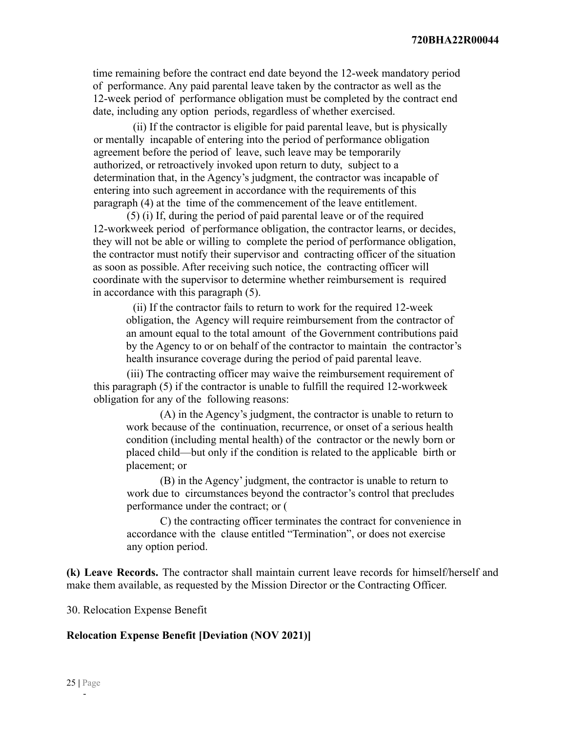time remaining before the contract end date beyond the 12-week mandatory period of performance. Any paid parental leave taken by the contractor as well as the 12-week period of performance obligation must be completed by the contract end date, including any option periods, regardless of whether exercised.

(ii) If the contractor is eligible for paid parental leave, but is physically or mentally incapable of entering into the period of performance obligation agreement before the period of leave, such leave may be temporarily authorized, or retroactively invoked upon return to duty, subject to a determination that, in the Agency's judgment, the contractor was incapable of entering into such agreement in accordance with the requirements of this paragraph (4) at the time of the commencement of the leave entitlement.

(5) (i) If, during the period of paid parental leave or of the required 12-workweek period of performance obligation, the contractor learns, or decides, they will not be able or willing to complete the period of performance obligation, the contractor must notify their supervisor and contracting officer of the situation as soon as possible. After receiving such notice, the contracting officer will coordinate with the supervisor to determine whether reimbursement is required in accordance with this paragraph (5).

(ii) If the contractor fails to return to work for the required 12-week obligation, the Agency will require reimbursement from the contractor of an amount equal to the total amount of the Government contributions paid by the Agency to or on behalf of the contractor to maintain the contractor's health insurance coverage during the period of paid parental leave.

(iii) The contracting officer may waive the reimbursement requirement of this paragraph (5) if the contractor is unable to fulfill the required 12-workweek obligation for any of the following reasons:

(A) in the Agency's judgment, the contractor is unable to return to work because of the continuation, recurrence, or onset of a serious health condition (including mental health) of the contractor or the newly born or placed child—but only if the condition is related to the applicable birth or placement; or

(B) in the Agency' judgment, the contractor is unable to return to work due to circumstances beyond the contractor's control that precludes performance under the contract; or (

C) the contracting officer terminates the contract for convenience in accordance with the clause entitled "Termination", or does not exercise any option period.

**(k) Leave Records.** The contractor shall maintain current leave records for himself/herself and make them available, as requested by the Mission Director or the Contracting Officer.

30. Relocation Expense Benefit

### **Relocation Expense Benefit [Deviation (NOV 2021)]**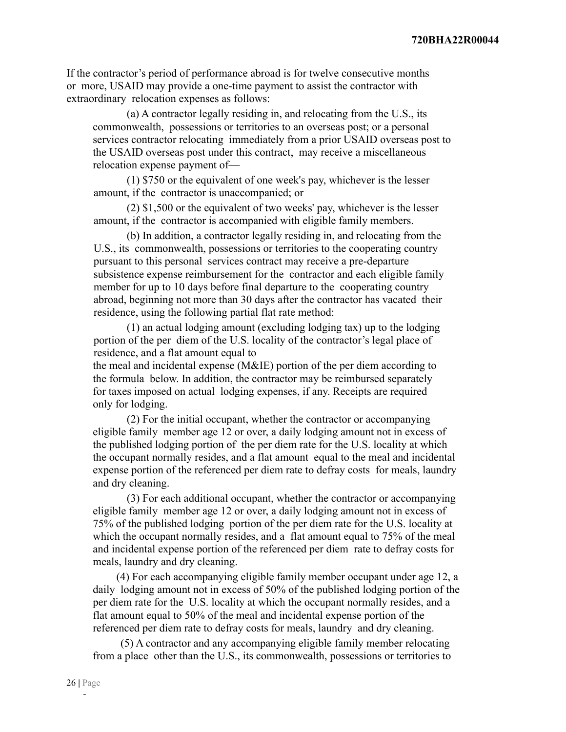If the contractor's period of performance abroad is for twelve consecutive months or more, USAID may provide a one-time payment to assist the contractor with extraordinary relocation expenses as follows:

(a) A contractor legally residing in, and relocating from the U.S., its commonwealth, possessions or territories to an overseas post; or a personal services contractor relocating immediately from a prior USAID overseas post to the USAID overseas post under this contract, may receive a miscellaneous relocation expense payment of—

(1) \$750 or the equivalent of one week's pay, whichever is the lesser amount, if the contractor is unaccompanied; or

(2) \$1,500 or the equivalent of two weeks' pay, whichever is the lesser amount, if the contractor is accompanied with eligible family members.

(b) In addition, a contractor legally residing in, and relocating from the U.S., its commonwealth, possessions or territories to the cooperating country pursuant to this personal services contract may receive a pre-departure subsistence expense reimbursement for the contractor and each eligible family member for up to 10 days before final departure to the cooperating country abroad, beginning not more than 30 days after the contractor has vacated their residence, using the following partial flat rate method:

(1) an actual lodging amount (excluding lodging tax) up to the lodging portion of the per diem of the U.S. locality of the contractor's legal place of residence, and a flat amount equal to

the meal and incidental expense (M&IE) portion of the per diem according to the formula below. In addition, the contractor may be reimbursed separately for taxes imposed on actual lodging expenses, if any. Receipts are required only for lodging.

(2) For the initial occupant, whether the contractor or accompanying eligible family member age 12 or over, a daily lodging amount not in excess of the published lodging portion of the per diem rate for the U.S. locality at which the occupant normally resides, and a flat amount equal to the meal and incidental expense portion of the referenced per diem rate to defray costs for meals, laundry and dry cleaning.

(3) For each additional occupant, whether the contractor or accompanying eligible family member age 12 or over, a daily lodging amount not in excess of 75% of the published lodging portion of the per diem rate for the U.S. locality at which the occupant normally resides, and a flat amount equal to 75% of the meal and incidental expense portion of the referenced per diem rate to defray costs for meals, laundry and dry cleaning.

(4) For each accompanying eligible family member occupant under age 12, a daily lodging amount not in excess of 50% of the published lodging portion of the per diem rate for the U.S. locality at which the occupant normally resides, and a flat amount equal to 50% of the meal and incidental expense portion of the referenced per diem rate to defray costs for meals, laundry and dry cleaning.

(5) A contractor and any accompanying eligible family member relocating from a place other than the U.S., its commonwealth, possessions or territories to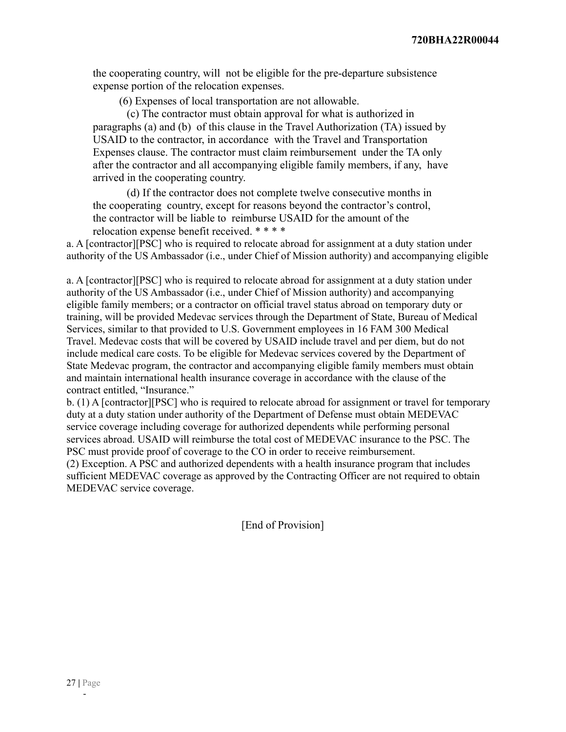the cooperating country, will not be eligible for the pre-departure subsistence expense portion of the relocation expenses.

(6) Expenses of local transportation are not allowable.

(c) The contractor must obtain approval for what is authorized in paragraphs (a) and (b) of this clause in the Travel Authorization (TA) issued by USAID to the contractor, in accordance with the Travel and Transportation Expenses clause. The contractor must claim reimbursement under the TA only after the contractor and all accompanying eligible family members, if any, have arrived in the cooperating country.

(d) If the contractor does not complete twelve consecutive months in the cooperating country, except for reasons beyond the contractor's control, the contractor will be liable to reimburse USAID for the amount of the relocation expense benefit received. \* \* \* \*

a. A [contractor][PSC] who is required to relocate abroad for assignment at a duty station under authority of the US Ambassador (i.e., under Chief of Mission authority) and accompanying eligible

a. A [contractor][PSC] who is required to relocate abroad for assignment at a duty station under authority of the US Ambassador (i.e., under Chief of Mission authority) and accompanying eligible family members; or a contractor on official travel status abroad on temporary duty or training, will be provided Medevac services through the Department of State, Bureau of Medical Services, similar to that provided to U.S. Government employees in 16 FAM 300 Medical Travel. Medevac costs that will be covered by USAID include travel and per diem, but do not include medical care costs. To be eligible for Medevac services covered by the Department of State Medevac program, the contractor and accompanying eligible family members must obtain and maintain international health insurance coverage in accordance with the clause of the contract entitled, "Insurance."

b. (1) A [contractor][PSC] who is required to relocate abroad for assignment or travel for temporary duty at a duty station under authority of the Department of Defense must obtain MEDEVAC service coverage including coverage for authorized dependents while performing personal services abroad. USAID will reimburse the total cost of MEDEVAC insurance to the PSC. The PSC must provide proof of coverage to the CO in order to receive reimbursement.

(2) Exception. A PSC and authorized dependents with a health insurance program that includes sufficient MEDEVAC coverage as approved by the Contracting Officer are not required to obtain MEDEVAC service coverage.

[End of Provision]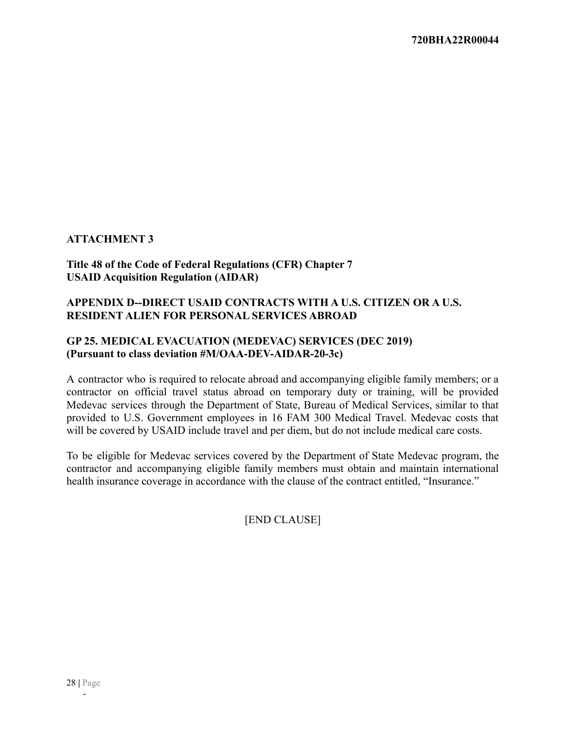## **ATTACHMENT 3**

#### **Title 48 of the Code of Federal Regulations (CFR) Chapter 7 USAID Acquisition Regulation (AIDAR)**

## **APPENDIX D--DIRECT USAID CONTRACTS WITH A U.S. CITIZEN OR A U.S. RESIDENT ALIEN FOR PERSONAL SERVICES ABROAD**

## **GP 25. MEDICAL EVACUATION (MEDEVAC) SERVICES (DEC 2019) (Pursuant to class deviation #M/OAA-DEV-AIDAR-20-3c)**

A contractor who is required to relocate abroad and accompanying eligible family members; or a contractor on official travel status abroad on temporary duty or training, will be provided Medevac services through the Department of State, Bureau of Medical Services, similar to that provided to U.S. Government employees in 16 FAM 300 Medical Travel. Medevac costs that will be covered by USAID include travel and per diem, but do not include medical care costs.

To be eligible for Medevac services covered by the Department of State Medevac program, the contractor and accompanying eligible family members must obtain and maintain international health insurance coverage in accordance with the clause of the contract entitled, "Insurance."

[END CLAUSE]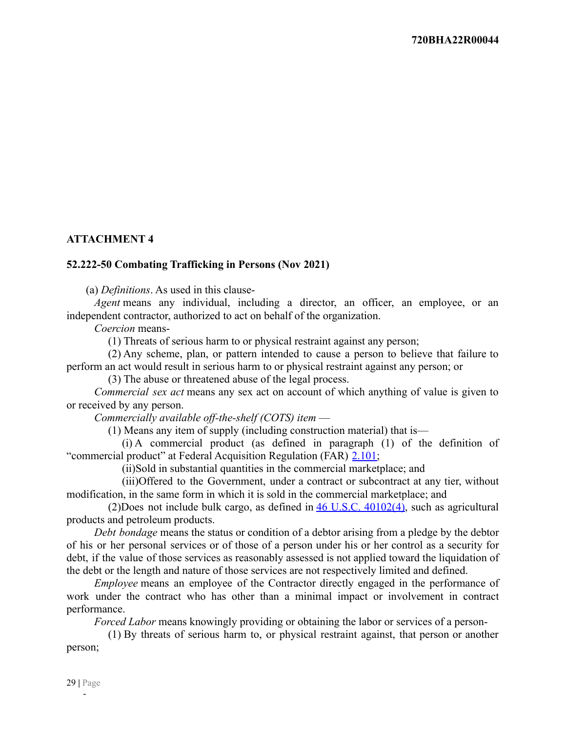### **ATTACHMENT 4**

#### **52.222-50 Combating Trafficking in Persons (Nov 2021)**

(a) *Definitions*. As used in this clause-

*Agent* means any individual, including a director, an officer, an employee, or an independent contractor, authorized to act on behalf of the organization.

*Coercion* means-

(1) Threats of serious harm to or physical restraint against any person;

(2) Any scheme, plan, or pattern intended to cause a person to believe that failure to perform an act would result in serious harm to or physical restraint against any person; or

(3) The abuse or threatened abuse of the legal process.

*Commercial sex act* means any sex act on account of which anything of value is given to or received by any person.

*Commercially available off-the-shelf (COTS) item* —

(1) Means any item of supply (including construction material) that is—

(i) A commercial product (as defined in paragraph (1) of the definition of "commercial product" at Federal Acquisition Regulation (FAR) [2.101;](https://www.acquisition.gov/far/2.101#FAR_2_101)

(ii)Sold in substantial quantities in the commercial marketplace; and

(iii)Offered to the Government, under a contract or subcontract at any tier, without modification, in the same form in which it is sold in the commercial marketplace; and

(2)Does not include bulk cargo, as defined in 46 U.S.C. [40102\(4\)](http://uscode.house.gov/browse.xhtml;jsessionid=114A3287C7B3359E597506A31FC855B3), such as agricultural products and petroleum products.

*Debt bondage* means the status or condition of a debtor arising from a pledge by the debtor of his or her personal services or of those of a person under his or her control as a security for debt, if the value of those services as reasonably assessed is not applied toward the liquidation of the debt or the length and nature of those services are not respectively limited and defined.

*Employee* means an employee of the Contractor directly engaged in the performance of work under the contract who has other than a minimal impact or involvement in contract performance.

*Forced Labor* means knowingly providing or obtaining the labor or services of a person-

(1) By threats of serious harm to, or physical restraint against, that person or another person;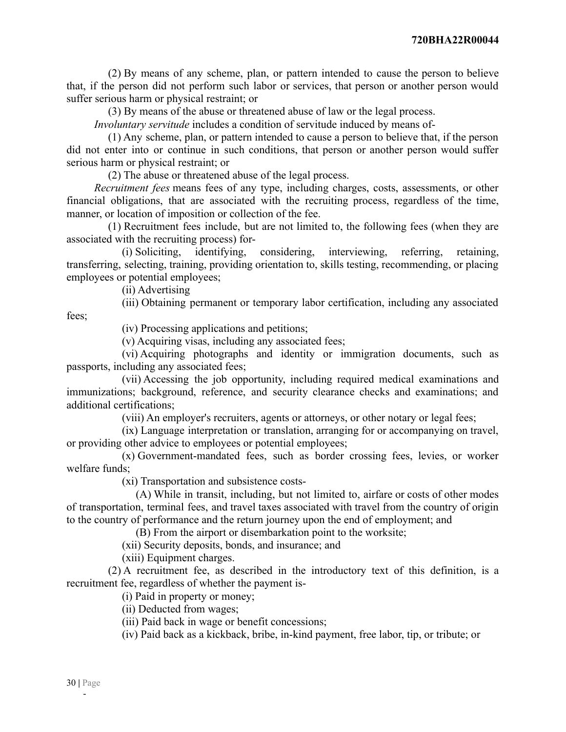(2) By means of any scheme, plan, or pattern intended to cause the person to believe that, if the person did not perform such labor or services, that person or another person would suffer serious harm or physical restraint; or

(3) By means of the abuse or threatened abuse of law or the legal process.

*Involuntary servitude* includes a condition of servitude induced by means of-

(1) Any scheme, plan, or pattern intended to cause a person to believe that, if the person did not enter into or continue in such conditions, that person or another person would suffer serious harm or physical restraint; or

(2) The abuse or threatened abuse of the legal process.

*Recruitment fees* means fees of any type, including charges, costs, assessments, or other financial obligations, that are associated with the recruiting process, regardless of the time, manner, or location of imposition or collection of the fee.

(1) Recruitment fees include, but are not limited to, the following fees (when they are associated with the recruiting process) for-

(i) Soliciting, identifying, considering, interviewing, referring, retaining, transferring, selecting, training, providing orientation to, skills testing, recommending, or placing employees or potential employees;

(ii) Advertising

(iii) Obtaining permanent or temporary labor certification, including any associated

fees;

(iv) Processing applications and petitions;

(v) Acquiring visas, including any associated fees;

(vi) Acquiring photographs and identity or immigration documents, such as passports, including any associated fees;

(vii) Accessing the job opportunity, including required medical examinations and immunizations; background, reference, and security clearance checks and examinations; and additional certifications;

(viii) An employer's recruiters, agents or attorneys, or other notary or legal fees;

(ix) Language interpretation or translation, arranging for or accompanying on travel, or providing other advice to employees or potential employees;

(x) Government-mandated fees, such as border crossing fees, levies, or worker welfare funds;

(xi) Transportation and subsistence costs-

(A) While in transit, including, but not limited to, airfare or costs of other modes of transportation, terminal fees, and travel taxes associated with travel from the country of origin to the country of performance and the return journey upon the end of employment; and

(B) From the airport or disembarkation point to the worksite;

(xii) Security deposits, bonds, and insurance; and

(xiii) Equipment charges.

(2) A recruitment fee, as described in the introductory text of this definition, is a recruitment fee, regardless of whether the payment is-

(i) Paid in property or money;

(ii) Deducted from wages;

(iii) Paid back in wage or benefit concessions;

(iv) Paid back as a kickback, bribe, in-kind payment, free labor, tip, or tribute; or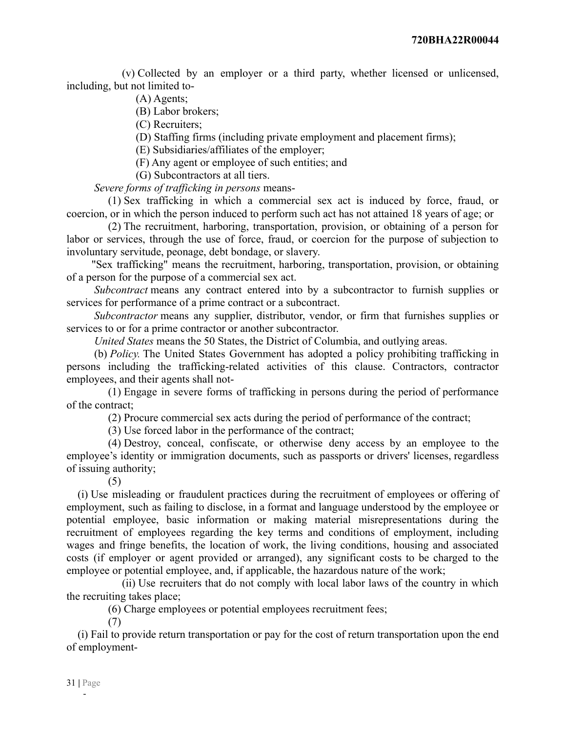(v) Collected by an employer or a third party, whether licensed or unlicensed, including, but not limited to-

(A) Agents;

(B) Labor brokers;

(C) Recruiters;

(D) Staffing firms (including private employment and placement firms);

(E) Subsidiaries/affiliates of the employer;

(F) Any agent or employee of such entities; and

(G) Subcontractors at all tiers.

*Severe forms of trafficking in persons* means-

(1) Sex trafficking in which a commercial sex act is induced by force, fraud, or coercion, or in which the person induced to perform such act has not attained 18 years of age; or

(2) The recruitment, harboring, transportation, provision, or obtaining of a person for labor or services, through the use of force, fraud, or coercion for the purpose of subjection to involuntary servitude, peonage, debt bondage, or slavery.

"Sex trafficking" means the recruitment, harboring, transportation, provision, or obtaining of a person for the purpose of a commercial sex act.

*Subcontract* means any contract entered into by a subcontractor to furnish supplies or services for performance of a prime contract or a subcontract.

*Subcontractor* means any supplier, distributor, vendor, or firm that furnishes supplies or services to or for a prime contractor or another subcontractor.

*United States* means the 50 States, the District of Columbia, and outlying areas.

(b) *Policy.* The United States Government has adopted a policy prohibiting trafficking in persons including the trafficking-related activities of this clause. Contractors, contractor employees, and their agents shall not-

(1) Engage in severe forms of trafficking in persons during the period of performance of the contract;

(2) Procure commercial sex acts during the period of performance of the contract;

(3) Use forced labor in the performance of the contract;

(4) Destroy, conceal, confiscate, or otherwise deny access by an employee to the employee's identity or immigration documents, such as passports or drivers' licenses, regardless of issuing authority;

(5)

(i) Use misleading or fraudulent practices during the recruitment of employees or offering of employment, such as failing to disclose, in a format and language understood by the employee or potential employee, basic information or making material misrepresentations during the recruitment of employees regarding the key terms and conditions of employment, including wages and fringe benefits, the location of work, the living conditions, housing and associated costs (if employer or agent provided or arranged), any significant costs to be charged to the employee or potential employee, and, if applicable, the hazardous nature of the work;

(ii) Use recruiters that do not comply with local labor laws of the country in which the recruiting takes place;

(6) Charge employees or potential employees recruitment fees;

(7)

(i) Fail to provide return transportation or pay for the cost of return transportation upon the end of employment-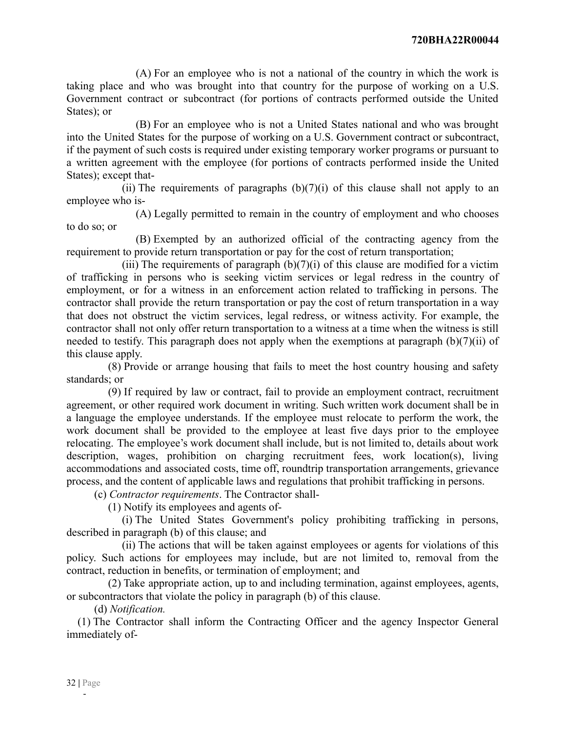(A) For an employee who is not a national of the country in which the work is taking place and who was brought into that country for the purpose of working on a U.S. Government contract or subcontract (for portions of contracts performed outside the United States); or

(B) For an employee who is not a United States national and who was brought into the United States for the purpose of working on a U.S. Government contract or subcontract, if the payment of such costs is required under existing temporary worker programs or pursuant to a written agreement with the employee (for portions of contracts performed inside the United States); except that-

(ii) The requirements of paragraphs  $(b)(7)(i)$  of this clause shall not apply to an employee who is-

(A) Legally permitted to remain in the country of employment and who chooses to do so; or

(B) Exempted by an authorized official of the contracting agency from the requirement to provide return transportation or pay for the cost of return transportation;

(iii) The requirements of paragraph  $(b)(7)(i)$  of this clause are modified for a victim of trafficking in persons who is seeking victim services or legal redress in the country of employment, or for a witness in an enforcement action related to trafficking in persons. The contractor shall provide the return transportation or pay the cost of return transportation in a way that does not obstruct the victim services, legal redress, or witness activity. For example, the contractor shall not only offer return transportation to a witness at a time when the witness is still needed to testify. This paragraph does not apply when the exemptions at paragraph (b)(7)(ii) of this clause apply.

(8) Provide or arrange housing that fails to meet the host country housing and safety standards; or

(9) If required by law or contract, fail to provide an employment contract, recruitment agreement, or other required work document in writing. Such written work document shall be in a language the employee understands. If the employee must relocate to perform the work, the work document shall be provided to the employee at least five days prior to the employee relocating. The employee's work document shall include, but is not limited to, details about work description, wages, prohibition on charging recruitment fees, work location(s), living accommodations and associated costs, time off, roundtrip transportation arrangements, grievance process, and the content of applicable laws and regulations that prohibit trafficking in persons.

(c) *Contractor requirements*. The Contractor shall-

(1) Notify its employees and agents of-

(i) The United States Government's policy prohibiting trafficking in persons, described in paragraph (b) of this clause; and

(ii) The actions that will be taken against employees or agents for violations of this policy. Such actions for employees may include, but are not limited to, removal from the contract, reduction in benefits, or termination of employment; and

(2) Take appropriate action, up to and including termination, against employees, agents, or subcontractors that violate the policy in paragraph (b) of this clause.

(d) *Notification.*

(1) The Contractor shall inform the Contracting Officer and the agency Inspector General immediately of-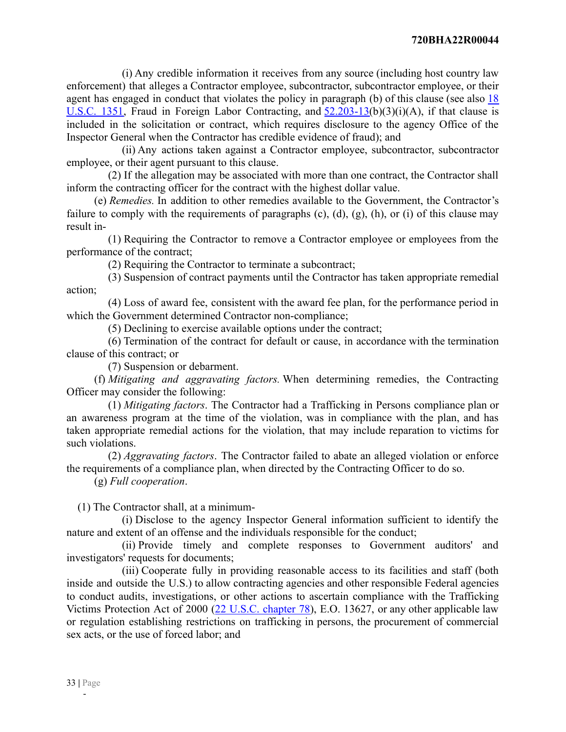(i) Any credible information it receives from any source (including host country law enforcement) that alleges a Contractor employee, subcontractor, subcontractor employee, or their agent has engaged in conduct that violates the policy in paragraph (b) of this clause (see also [18](http://uscode.house.gov/browse.xhtml;jsessionid=114A3287C7B3359E597506A31FC855B3) [U.S.C.](http://uscode.house.gov/browse.xhtml;jsessionid=114A3287C7B3359E597506A31FC855B3) 1351, Fraud in Foreign Labor Contracting, and  $\frac{52.203 - 13(b)(3)(i)}{A}$ , if that clause is included in the solicitation or contract, which requires disclosure to the agency Office of the Inspector General when the Contractor has credible evidence of fraud); and

(ii) Any actions taken against a Contractor employee, subcontractor, subcontractor employee, or their agent pursuant to this clause.

(2) If the allegation may be associated with more than one contract, the Contractor shall inform the contracting officer for the contract with the highest dollar value.

(e) *Remedies.* In addition to other remedies available to the Government, the Contractor's failure to comply with the requirements of paragraphs  $(c)$ ,  $(d)$ ,  $(g)$ ,  $(h)$ , or  $(i)$  of this clause may result in-

(1) Requiring the Contractor to remove a Contractor employee or employees from the performance of the contract;

(2) Requiring the Contractor to terminate a subcontract;

(3) Suspension of contract payments until the Contractor has taken appropriate remedial action;

(4) Loss of award fee, consistent with the award fee plan, for the performance period in which the Government determined Contractor non-compliance;

(5) Declining to exercise available options under the contract;

(6) Termination of the contract for default or cause, in accordance with the termination clause of this contract; or

(7) Suspension or debarment.

(f) *Mitigating and aggravating factors.* When determining remedies, the Contracting Officer may consider the following:

(1) *Mitigating factors*. The Contractor had a Trafficking in Persons compliance plan or an awareness program at the time of the violation, was in compliance with the plan, and has taken appropriate remedial actions for the violation, that may include reparation to victims for such violations.

(2) *Aggravating factors*. The Contractor failed to abate an alleged violation or enforce the requirements of a compliance plan, when directed by the Contracting Officer to do so.

(g) *Full cooperation*.

(1) The Contractor shall, at a minimum-

(i) Disclose to the agency Inspector General information sufficient to identify the nature and extent of an offense and the individuals responsible for the conduct;

(ii) Provide timely and complete responses to Government auditors' and investigators' requests for documents;

(iii) Cooperate fully in providing reasonable access to its facilities and staff (both inside and outside the U.S.) to allow contracting agencies and other responsible Federal agencies to conduct audits, investigations, or other actions to ascertain compliance with the Trafficking Victims Protection Act of 2000 (22 U.S.C. [chapter](http://uscode.house.gov/browse.xhtml;jsessionid=114A3287C7B3359E597506A31FC855B3) 78), E.O. 13627, or any other applicable law or regulation establishing restrictions on trafficking in persons, the procurement of commercial sex acts, or the use of forced labor; and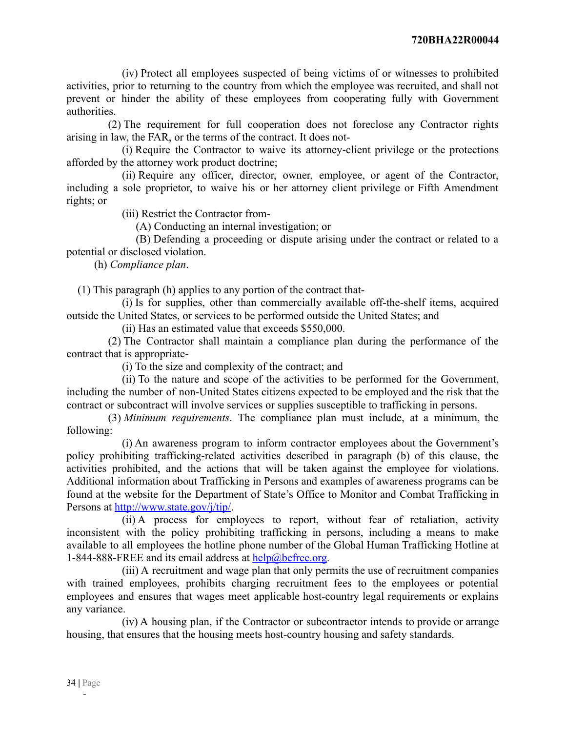(iv) Protect all employees suspected of being victims of or witnesses to prohibited activities, prior to returning to the country from which the employee was recruited, and shall not prevent or hinder the ability of these employees from cooperating fully with Government authorities.

(2) The requirement for full cooperation does not foreclose any Contractor rights arising in law, the FAR, or the terms of the contract. It does not-

(i) Require the Contractor to waive its attorney-client privilege or the protections afforded by the attorney work product doctrine;

(ii) Require any officer, director, owner, employee, or agent of the Contractor, including a sole proprietor, to waive his or her attorney client privilege or Fifth Amendment rights; or

(iii) Restrict the Contractor from-

(A) Conducting an internal investigation; or

(B) Defending a proceeding or dispute arising under the contract or related to a potential or disclosed violation.

(h) *Compliance plan*.

(1) This paragraph (h) applies to any portion of the contract that-

(i) Is for supplies, other than commercially available off-the-shelf items, acquired outside the United States, or services to be performed outside the United States; and

(ii) Has an estimated value that exceeds \$550,000.

(2) The Contractor shall maintain a compliance plan during the performance of the contract that is appropriate-

(i) To the size and complexity of the contract; and

(ii) To the nature and scope of the activities to be performed for the Government, including the number of non-United States citizens expected to be employed and the risk that the contract or subcontract will involve services or supplies susceptible to trafficking in persons.

(3) *Minimum requirements*. The compliance plan must include, at a minimum, the following:

(i) An awareness program to inform contractor employees about the Government's policy prohibiting trafficking-related activities described in paragraph (b) of this clause, the activities prohibited, and the actions that will be taken against the employee for violations. Additional information about Trafficking in Persons and examples of awareness programs can be found at the website for the Department of State's Office to Monitor and Combat Trafficking in Persons at [http://www.state.gov/j/tip/.](http://www.state.gov/j/tip/)

(ii) A process for employees to report, without fear of retaliation, activity inconsistent with the policy prohibiting trafficking in persons, including a means to make available to all employees the hotline phone number of the Global Human Trafficking Hotline at 1-844-888-FREE and its email address at  $\frac{\text{help}(a)\text{before}}{\text{def}}$ .

(iii) A recruitment and wage plan that only permits the use of recruitment companies with trained employees, prohibits charging recruitment fees to the employees or potential employees and ensures that wages meet applicable host-country legal requirements or explains any variance.

(iv) A housing plan, if the Contractor or subcontractor intends to provide or arrange housing, that ensures that the housing meets host-country housing and safety standards.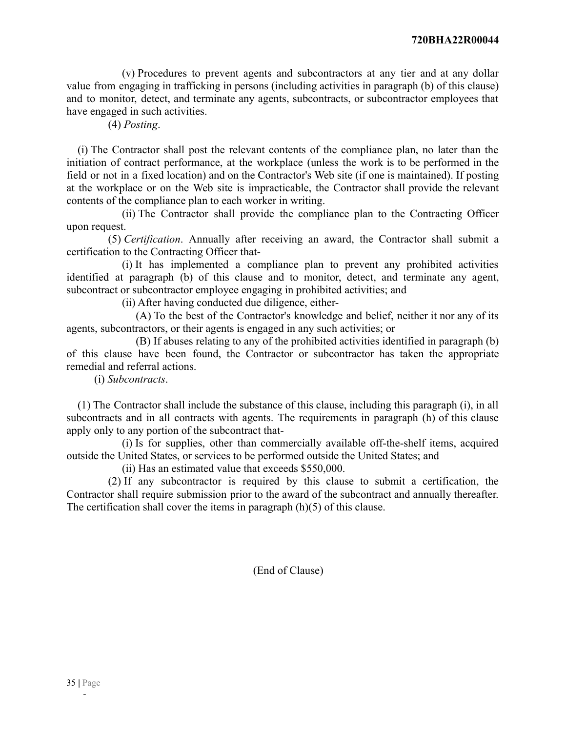(v) Procedures to prevent agents and subcontractors at any tier and at any dollar value from engaging in trafficking in persons (including activities in paragraph (b) of this clause) and to monitor, detect, and terminate any agents, subcontracts, or subcontractor employees that have engaged in such activities.

(4) *Posting*.

(i) The Contractor shall post the relevant contents of the compliance plan, no later than the initiation of contract performance, at the workplace (unless the work is to be performed in the field or not in a fixed location) and on the Contractor's Web site (if one is maintained). If posting at the workplace or on the Web site is impracticable, the Contractor shall provide the relevant contents of the compliance plan to each worker in writing.

(ii) The Contractor shall provide the compliance plan to the Contracting Officer upon request.

(5) *Certification*. Annually after receiving an award, the Contractor shall submit a certification to the Contracting Officer that-

(i) It has implemented a compliance plan to prevent any prohibited activities identified at paragraph (b) of this clause and to monitor, detect, and terminate any agent, subcontract or subcontractor employee engaging in prohibited activities; and

(ii) After having conducted due diligence, either-

(A) To the best of the Contractor's knowledge and belief, neither it nor any of its agents, subcontractors, or their agents is engaged in any such activities; or

(B) If abuses relating to any of the prohibited activities identified in paragraph (b) of this clause have been found, the Contractor or subcontractor has taken the appropriate remedial and referral actions.

(i) *Subcontracts*.

(1) The Contractor shall include the substance of this clause, including this paragraph (i), in all subcontracts and in all contracts with agents. The requirements in paragraph (h) of this clause apply only to any portion of the subcontract that-

(i) Is for supplies, other than commercially available off-the-shelf items, acquired outside the United States, or services to be performed outside the United States; and

(ii) Has an estimated value that exceeds \$550,000.

(2) If any subcontractor is required by this clause to submit a certification, the Contractor shall require submission prior to the award of the subcontract and annually thereafter. The certification shall cover the items in paragraph (h)(5) of this clause.

(End of Clause)